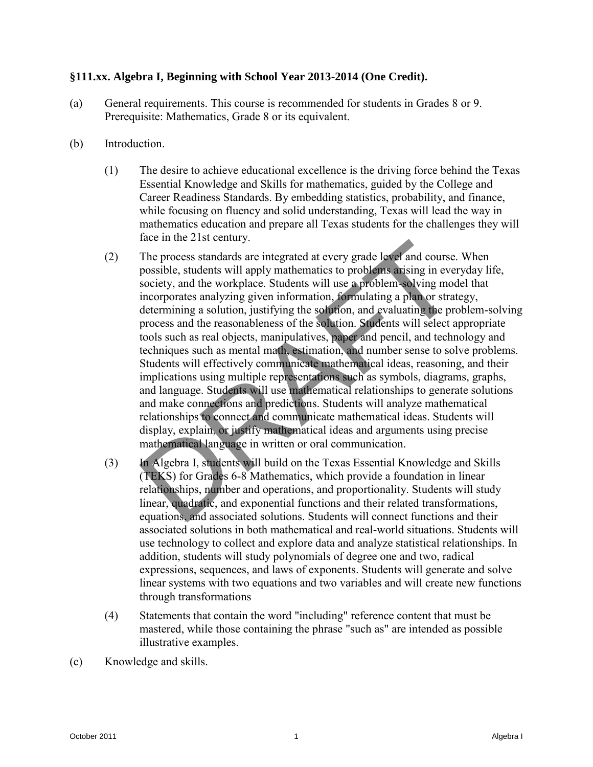## **§111.xx. Algebra I, Beginning with School Year 2013-2014 (One Credit).**

- (a) General requirements. This course is recommended for students in Grades 8 or 9. Prerequisite: Mathematics, Grade 8 or its equivalent.
- (b) Introduction.
	- (1) The desire to achieve educational excellence is the driving force behind the Texas Essential Knowledge and Skills for mathematics, guided by the College and Career Readiness Standards. By embedding statistics, probability, and finance, while focusing on fluency and solid understanding, Texas will lead the way in mathematics education and prepare all Texas students for the challenges they will face in the 21st century.
- (2) The process standards are integrated at every grade level and course. When possible, students will apply mathematics to problems arising in everyday life, society, and the workplace. Students will use a problem-solving model that incorporates analyzing given information, formulating a plan or strategy, determining a solution, justifying the solution, and evaluating the problem-solving process and the reasonableness of the solution. Students will select appropriate tools such as real objects, manipulatives, paper and pencil, and technology and techniques such as mental math, estimation, and number sense to solve problems. Students will effectively communicate mathematical ideas, reasoning, and their implications using multiple representations such as symbols, diagrams, graphs, and language. Students will use mathematical relationships to generate solutions and make connections and predictions. Students will analyze mathematical relationships to connect and communicate mathematical ideas. Students will display, explain, or justify mathematical ideas and arguments using precise mathematical language in written or oral communication. The more 2 is technity.<br>The process standards are integrated at every grade  $\blacktriangleright$  ef and course. When<br>possible, studdnes will apply mathematist to problem-as wing in every<br>society, and the workplane. Students will use a
	- (3) In Algebra I, students will build on the Texas Essential Knowledge and Skills (TEKS) for Grades 6-8 Mathematics, which provide a foundation in linear relationships, number and operations, and proportionality. Students will study linear, quadratic, and exponential functions and their related transformations, equations, and associated solutions. Students will connect functions and their associated solutions in both mathematical and real-world situations. Students will use technology to collect and explore data and analyze statistical relationships. In addition, students will study polynomials of degree one and two, radical expressions, sequences, and laws of exponents. Students will generate and solve linear systems with two equations and two variables and will create new functions through transformations
	- (4) Statements that contain the word "including" reference content that must be mastered, while those containing the phrase "such as" are intended as possible illustrative examples.
- (c) Knowledge and skills.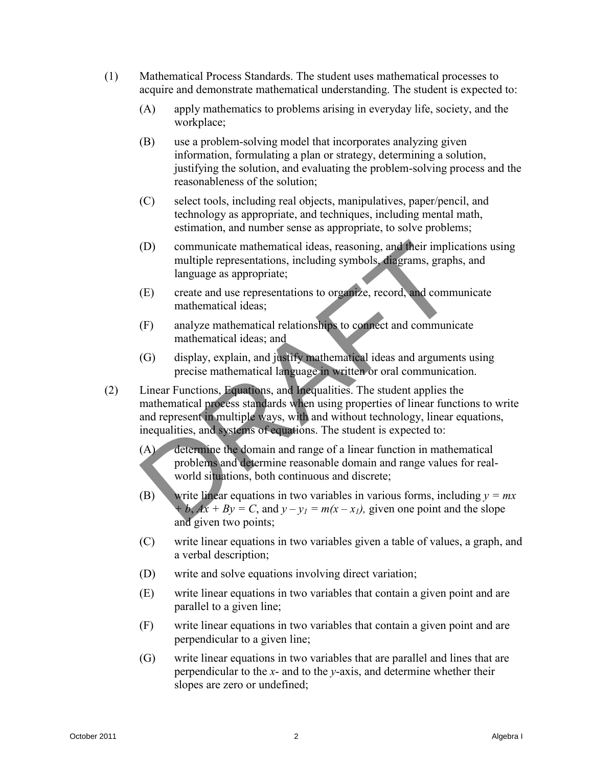- (1) Mathematical Process Standards. The student uses mathematical processes to acquire and demonstrate mathematical understanding. The student is expected to:
	- (A) apply mathematics to problems arising in everyday life, society, and the workplace;
	- (B) use a problem-solving model that incorporates analyzing given information, formulating a plan or strategy, determining a solution, justifying the solution, and evaluating the problem-solving process and the reasonableness of the solution;
	- (C) select tools, including real objects, manipulatives, paper/pencil, and technology as appropriate, and techniques, including mental math, estimation, and number sense as appropriate, to solve problems;
	- (D) communicate mathematical ideas, reasoning, and their implications using multiple representations, including symbols, diagrams, graphs, and language as appropriate;
	- (E) create and use representations to organize, record, and communicate mathematical ideas;
	- (F) analyze mathematical relationships to connect and communicate mathematical ideas; and
	- (G) display, explain, and justify mathematical ideas and arguments using precise mathematical language in written or oral communication.
- (2) Linear Functions, Equations, and Inequalities. The student applies the mathematical process standards when using properties of linear functions to write and represent in multiple ways, with and without technology, linear equations, inequalities, and systems of equations. The student is expected to: (D) communicate mathematical ideas, reasoning, and their implications using<br>nully be eperestrained in the algebra I degrams, graphs, and<br>numerical interactions to region and the correlations of the presentation<br>of the pre
	- (A) determine the domain and range of a linear function in mathematical problems and determine reasonable domain and range values for realworld situations, both continuous and discrete;
	- (B) write linear equations in two variables in various forms, including  $y = mx$ *b*,  $Ax + By = C$ , and  $y - y_1 = m(x - x_1)$ , given one point and the slope and given two points;
	- (C) write linear equations in two variables given a table of values, a graph, and a verbal description;
	- (D) write and solve equations involving direct variation;
	- (E) write linear equations in two variables that contain a given point and are parallel to a given line;
	- (F) write linear equations in two variables that contain a given point and are perpendicular to a given line;
	- (G) write linear equations in two variables that are parallel and lines that are perpendicular to the *x*- and to the *y*-axis, and determine whether their slopes are zero or undefined;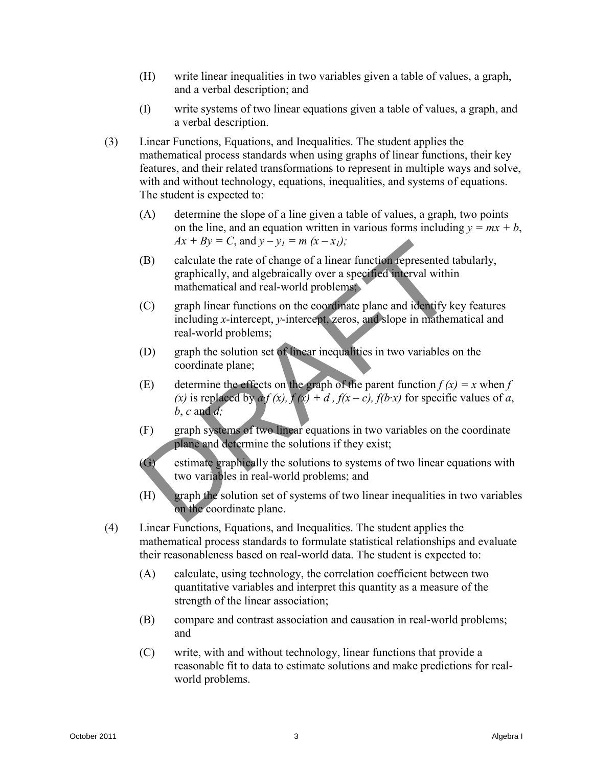- (H) write linear inequalities in two variables given a table of values, a graph, and a verbal description; and
- (I) write systems of two linear equations given a table of values, a graph, and a verbal description.
- (3) Linear Functions, Equations, and Inequalities. The student applies the mathematical process standards when using graphs of linear functions, their key features, and their related transformations to represent in multiple ways and solve, with and without technology, equations, inequalities, and systems of equations. The student is expected to:
	- (A) determine the slope of a line given a table of values, a graph, two points on the line, and an equation written in various forms including  $y = mx + b$ ,  $Ax + By = C$ , and  $y - y_1 = m (x - x_1)$ ;
	- (B) calculate the rate of change of a linear function represented tabularly, graphically, and algebraically over a specified interval within mathematical and real-world problems;
	- (C) graph linear functions on the coordinate plane and identify key features including *x*-intercept, *y*-intercept, zeros, and slope in mathematical and real-world problems;
	- (D) graph the solution set of linear inequalities in two variables on the coordinate plane;
	- (E) determine the effects on the graph of the parent function  $f(x) = x$  when  $f(x) = x$ (x) is replaced by  $a \cdot f(x)$ ,  $f(x) + d$ ,  $f(x - c)$ ,  $f(b \cdot x)$  for specific values of *a*,  $b, c$  and  $d$ ;
	- (F) graph systems of two linear equations in two variables on the coordinate plane and determine the solutions if they exist;
	- (G) estimate graphically the solutions to systems of two linear equations with two variables in real-world problems; and
	- (H) graph the solution set of systems of two linear inequalities in two variables on the coordinate plane.
- (4) Linear Functions, Equations, and Inequalities. The student applies the mathematical process standards to formulate statistical relationships and evaluate their reasonableness based on real-world data. The student is expected to: (13) calculate the rate of change of a linear function copresented tabularly,<br>capabically, and algebraically over a specified therval within<br>multimatical und radi-world problems:<br>
rangin linear functions on the coordinate
	- (A) calculate, using technology, the correlation coefficient between two quantitative variables and interpret this quantity as a measure of the strength of the linear association;
	- (B) compare and contrast association and causation in real-world problems; and
	- (C) write, with and without technology, linear functions that provide a reasonable fit to data to estimate solutions and make predictions for realworld problems.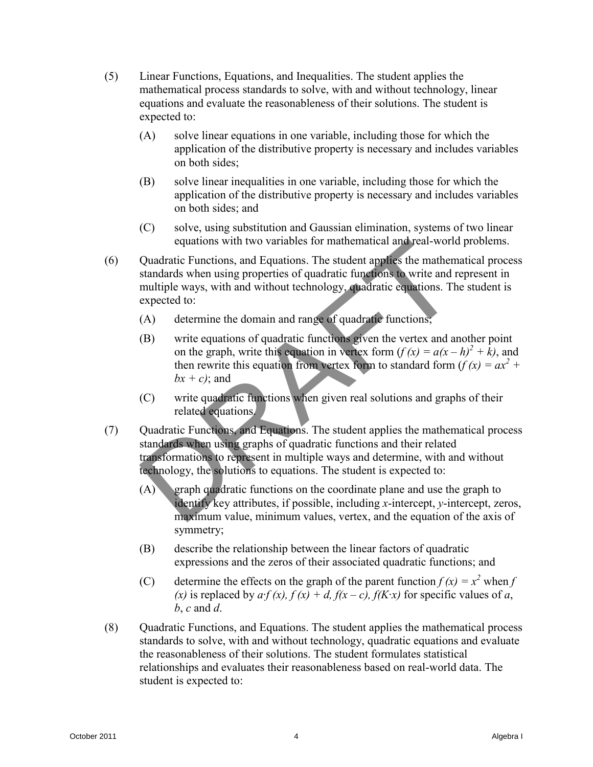- (5) Linear Functions, Equations, and Inequalities. The student applies the mathematical process standards to solve, with and without technology, linear equations and evaluate the reasonableness of their solutions. The student is expected to:
	- (A) solve linear equations in one variable, including those for which the application of the distributive property is necessary and includes variables on both sides;
	- (B) solve linear inequalities in one variable, including those for which the application of the distributive property is necessary and includes variables on both sides; and
	- (C) solve, using substitution and Gaussian elimination, systems of two linear equations with two variables for mathematical and real-world problems.
- (6) Quadratic Functions, and Equations. The student applies the mathematical process standards when using properties of quadratic functions to write and represent in multiple ways, with and without technology, quadratic equations. The student is expected to:
	- (A) determine the domain and range of quadratic functions;
	- (B) write equations of quadratic functions given the vertex and another point on the graph, write this equation in vertex form  $(f(x) = a(x - h)^2 + k)$ , and then rewrite this equation from vertex form to standard form  $(f (x) = ax^2 + b^2)$  $bx + c$ ; and
	- (C) write quadratic functions when given real solutions and graphs of their related equations.
- (7) Quadratic Functions, and Equations. The student applies the mathematical process standards when using graphs of quadratic functions and their related transformations to represent in multiple ways and determine, with and without technology, the solutions to equations. The student is expected to:
	- (A) graph quadratic functions on the coordinate plane and use the graph to identify key attributes, if possible, including *x*-intercept, *y*-intercept, zeros, maximum value, minimum values, vertex, and the equation of the axis of symmetry;
	- (B) describe the relationship between the linear factors of quadratic expressions and the zeros of their associated quadratic functions; and
	- (C) determine the effects on the graph of the parent function  $f(x) = x^2$  when *f* (x) is replaced by  $af(x)$ ,  $f(x) + d$ ,  $f(x - c)$ ,  $f(K \cdot x)$  for specific values of *a*, *b*, *c* and *d*.
- (8) Quadratic Functions, and Equations. The student applies the mathematical process standards to solve, with and without technology, quadratic equations and evaluate the reasonableness of their solutions. The student formulates statistical relationships and evaluates their reasonableness based on real-world data. The student is expected to: continuos with two variables for multimatrical undivar-world problems.<br>
(6) Quadratic Emericons, and Faquations. The student application process standard when using properties of quadratic times<br>
multiplic ways, with and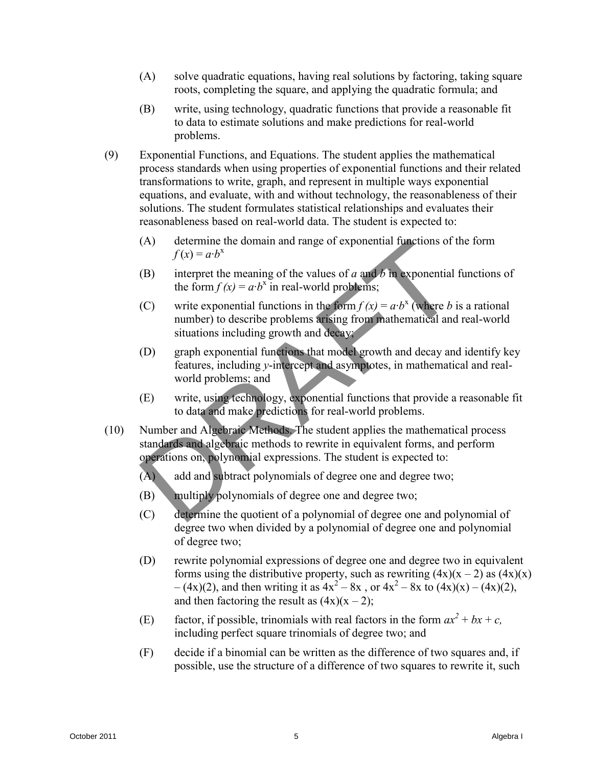- (A) solve quadratic equations, having real solutions by factoring, taking square roots, completing the square, and applying the quadratic formula; and
- (B) write, using technology, quadratic functions that provide a reasonable fit to data to estimate solutions and make predictions for real-world problems.
- (9) Exponential Functions, and Equations. The student applies the mathematical process standards when using properties of exponential functions and their related transformations to write, graph, and represent in multiple ways exponential equations, and evaluate, with and without technology, the reasonableness of their solutions. The student formulates statistical relationships and evaluates their reasonableness based on real-world data. The student is expected to:
	- (A) determine the domain and range of exponential functions of the form  $f(x) = a \cdot b^x$
	- (B) interpret the meaning of the values of *a* and *b* in exponential functions of the form  $f(x) = a \cdot b^x$  in real-world problems;
	- (C) write exponential functions in the form  $f(x) = a \cdot b^x$  (where *b* is a rational number) to describe problems arising from mathematical and real-world situations including growth and decay;
	- (D) graph exponential functions that model growth and decay and identify key features, including *y*-intercept and asymptotes, in mathematical and realworld problems; and
	- (E) write, using technology, exponential functions that provide a reasonable fit to data and make predictions for real-world problems.
- (10) Number and Algebraic Methods. The student applies the mathematical process standards and algebraic methods to rewrite in equivalent forms, and perform operations on, polynomial expressions. The student is expected to:
	- (A) add and subtract polynomials of degree one and degree two;
	- (B) multiply polynomials of degree one and degree two;
	- (C) determine the quotient of a polynomial of degree one and polynomial of degree two when divided by a polynomial of degree one and polynomial of degree two;
- (D) rewrite polynomial expressions of degree one and degree two in equivalent forms using the distributive property, such as rewriting  $(4x)(x - 2)$  as  $(4x)(x)$  $-(4x)(2)$ , and then writing it as  $4x^2 - 8x$ , or  $4x^2 - 8x$  to  $(4x)(x) - (4x)(2)$ , and then factoring the result as  $(4x)(x - 2)$ ; (A) determine the domain and range of exponential functions of the form<br>
(B) interpret the meaning of the values of  $a$  and  $b$  a syponential functions of<br>
the form  $f(x) = a b^3$  in recal-world problems.<br>
(C) write exponenti
	- (E) factor, if possible, trinomials with real factors in the form  $ax^2 + bx + c$ , including perfect square trinomials of degree two; and
	- (F) decide if a binomial can be written as the difference of two squares and, if possible, use the structure of a difference of two squares to rewrite it, such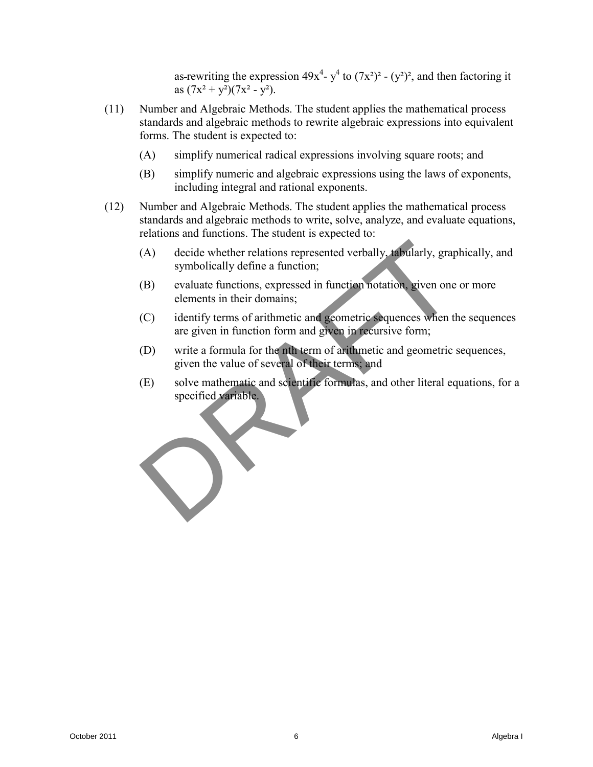as-rewriting the expression  $49x^4$ -  $y^4$  to  $(7x^2)^2$  -  $(y^2)^2$ , and then factoring it as  $(7x^2 + y^2)(7x^2 - y^2)$ .

- (11) Number and Algebraic Methods. The student applies the mathematical process standards and algebraic methods to rewrite algebraic expressions into equivalent forms. The student is expected to:
	- (A) simplify numerical radical expressions involving square roots; and
	- (B) simplify numeric and algebraic expressions using the laws of exponents, including integral and rational exponents.
- (12) Number and Algebraic Methods. The student applies the mathematical process standards and algebraic methods to write, solve, analyze, and evaluate equations, relations and functions. The student is expected to:
	- (A) decide whether relations represented verbally, tabularly, graphically, and symbolically define a function;
	- (B) evaluate functions, expressed in function notation, given one or more elements in their domains;
	- (C) identify terms of arithmetic and geometric sequences when the sequences are given in function form and given in recursive form;
	- (D) write a formula for the nth term of arithmetic and geometric sequences, given the value of several of their terms; and
- (E) solve mathematic and scientific formulas, and other literal equations, for a specified variable. CALL decide whether relations represented verbally dibularly, graphically, and<br>symbolically define a function;<br>(B) couldn't functions, expressed in function notation, given one or more<br>elements in their domains;<br>(C) identi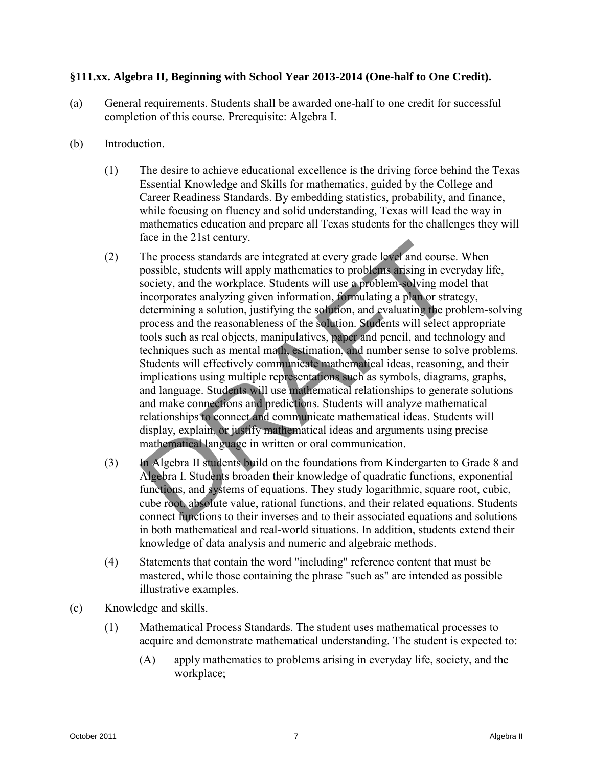# **§111.xx. Algebra II, Beginning with School Year 2013-2014 (One-half to One Credit).**

- (a) General requirements. Students shall be awarded one-half to one credit for successful completion of this course. Prerequisite: Algebra I.
- (b) Introduction.
	- (1) The desire to achieve educational excellence is the driving force behind the Texas Essential Knowledge and Skills for mathematics, guided by the College and Career Readiness Standards. By embedding statistics, probability, and finance, while focusing on fluency and solid understanding, Texas will lead the way in mathematics education and prepare all Texas students for the challenges they will face in the 21st century.
- (2) The process standards are integrated at every grade level and course. When possible, students will apply mathematics to problems arising in everyday life, society, and the workplace. Students will use a problem-solving model that incorporates analyzing given information, formulating a plan or strategy, determining a solution, justifying the solution, and evaluating the problem-solving process and the reasonableness of the solution. Students will select appropriate tools such as real objects, manipulatives, paper and pencil, and technology and techniques such as mental math, estimation, and number sense to solve problems. Students will effectively communicate mathematical ideas, reasoning, and their implications using multiple representations such as symbols, diagrams, graphs, and language. Students will use mathematical relationships to generate solutions and make connections and predictions. Students will analyze mathematical relationships to connect and communicate mathematical ideas. Students will display, explain, or justify mathematical ideas and arguments using precise mathematical language in written or oral communication. The more 2 is technity.<br>The process standards are integrated at every grade  $\blacktriangleright$  ef and course. When<br>possible, suddness will apply mathematist to problem, a hign everyday life,<br>society, and the workplane. Students will
	- (3) In Algebra II students build on the foundations from Kindergarten to Grade 8 and Algebra I. Students broaden their knowledge of quadratic functions, exponential functions, and systems of equations. They study logarithmic, square root, cubic, cube root, absolute value, rational functions, and their related equations. Students connect functions to their inverses and to their associated equations and solutions in both mathematical and real-world situations. In addition, students extend their knowledge of data analysis and numeric and algebraic methods.
	- (4) Statements that contain the word "including" reference content that must be mastered, while those containing the phrase "such as" are intended as possible illustrative examples.
- (c) Knowledge and skills.
	- (1) Mathematical Process Standards. The student uses mathematical processes to acquire and demonstrate mathematical understanding. The student is expected to:
		- (A) apply mathematics to problems arising in everyday life, society, and the workplace;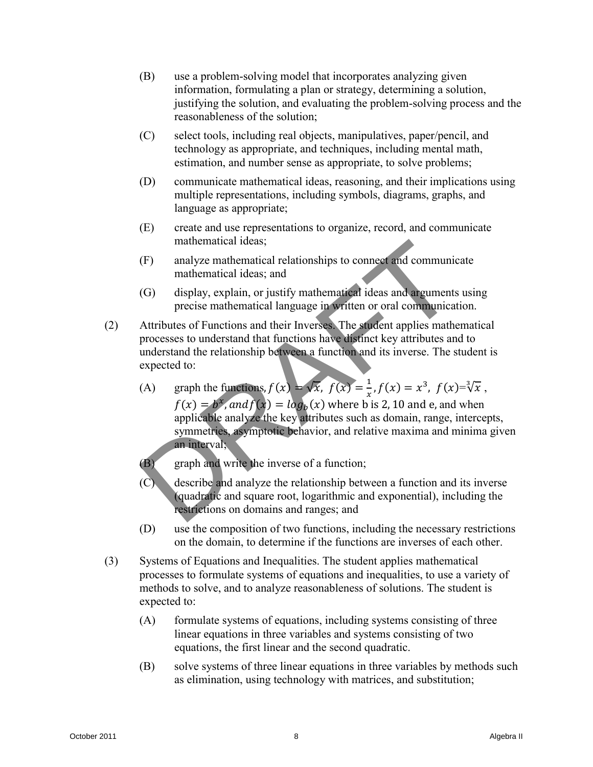- (B) use a problem-solving model that incorporates analyzing given information, formulating a plan or strategy, determining a solution, justifying the solution, and evaluating the problem-solving process and the reasonableness of the solution;
- (C) select tools, including real objects, manipulatives, paper/pencil, and technology as appropriate, and techniques, including mental math, estimation, and number sense as appropriate, to solve problems;
- (D) communicate mathematical ideas, reasoning, and their implications using multiple representations, including symbols, diagrams, graphs, and language as appropriate;
- (E) create and use representations to organize, record, and communicate mathematical ideas;
- (F) analyze mathematical relationships to connect and communicate mathematical ideas; and
- (G) display, explain, or justify mathematical ideas and arguments using precise mathematical language in written or oral communication.
- (2) Attributes of Functions and their Inverses. The student applies mathematical processes to understand that functions have distinct key attributes and to understand the relationship between a function and its inverse. The student is expected to:
- (A) graph the functions,  $f(x) = \sqrt{x}$ ,  $f(x) = \frac{1}{x}$  $\frac{1}{x}$ ,  $f(x) = x^3$ ,  $f(x)=\sqrt[3]{x}$ ,  $f(x) = b^x$ , and  $f(x) = log_b(x)$  where b is 2, 10 and e, and when applicable analyze the key attributes such as domain, range, intercepts, symmetries, asymptotic behavior, and relative maxima and minima given an interval; multicrantical ideas;<br>
(F) analyze nathernatical relationships to connect and communicate<br>
analyze nathernatical ideas and<br>
(G) display, explain, or justify mathematical ideas and agenments using<br>
precise mathematical lan
	- (B) graph and write the inverse of a function;
	- (C) describe and analyze the relationship between a function and its inverse (quadratic and square root, logarithmic and exponential), including the restrictions on domains and ranges; and
	- (D) use the composition of two functions, including the necessary restrictions on the domain, to determine if the functions are inverses of each other.
	- (3) Systems of Equations and Inequalities. The student applies mathematical processes to formulate systems of equations and inequalities, to use a variety of methods to solve, and to analyze reasonableness of solutions. The student is expected to:
		- (A) formulate systems of equations, including systems consisting of three linear equations in three variables and systems consisting of two equations, the first linear and the second quadratic.
		- (B) solve systems of three linear equations in three variables by methods such as elimination, using technology with matrices, and substitution;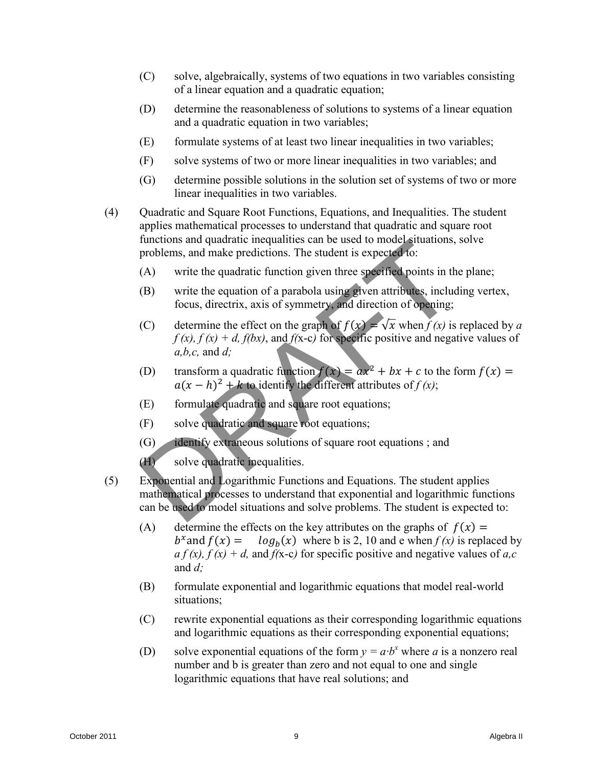- (C) solve, algebraically, systems of two equations in two variables consisting of a linear equation and a quadratic equation;
- (D) determine the reasonableness of solutions to systems of a linear equation and a quadratic equation in two variables;
- (E) formulate systems of at least two linear inequalities in two variables;
- (F) solve systems of two or more linear inequalities in two variables; and
- (G) determine possible solutions in the solution set of systems of two or more linear inequalities in two variables.
- (4) Quadratic and Square Root Functions, Equations, and Inequalities. The student applies mathematical processes to understand that quadratic and square root functions and quadratic inequalities can be used to model situations, solve problems, and make predictions. The student is expected to:
	- (A) write the quadratic function given three specified points in the plane;
	- (B) write the equation of a parabola using given attributes, including vertex, focus, directrix, axis of symmetry, and direction of opening;
	- (C) determine the effect on the graph of  $f(x) = \sqrt{x}$  when  $f(x)$  is replaced by *a*  $f(x)$ ,  $f(x) + d$ ,  $f(bx)$ , and  $f(x-c)$  for specific positive and negative values of *a,b,c,* and *d;*
	- (D) transform a quadratic function  $f(x) = ax^2 + bx + c$  to the form  $f(x) =$  $a(x-h)^2 + k$  to identify the different attributes of  $f(x)$ ;
	- (E) formulate quadratic and square root equations;
	- (F) solve quadratic and square root equations;
	- (G) identify extraneous solutions of square root equations ; and

(H) solve quadratic inequalities.

- (5) Exponential and Logarithmic Functions and Equations. The student applies mathematical processes to understand that exponential and logarithmic functions can be used to model situations and solve problems. The student is expected to:
- (A) determine the effects on the key attributes on the graphs of  $f(x) =$  $b^{\mathcal{X}}$ a  $log_h(x)$  where b is 2, 10 and e when  $f(x)$  is replaced by  $a f(x)$ ,  $f(x) + d$ , and  $f(x-c)$  for specific positive and negative values of *a*,*c* and *d;*  functions and quadratic incountables can be used to model strate<br>functions, solved problems, and make predictions. The student is expected to:<br>
(A) write the equadratic function given three specified points in the plane;<br>
	- (B) formulate exponential and logarithmic equations that model real-world situations;
	- (C) rewrite exponential equations as their corresponding logarithmic equations and logarithmic equations as their corresponding exponential equations;
	- (D) solve exponential equations of the form  $y = a b^x$  where *a* is a nonzero real number and b is greater than zero and not equal to one and single logarithmic equations that have real solutions; and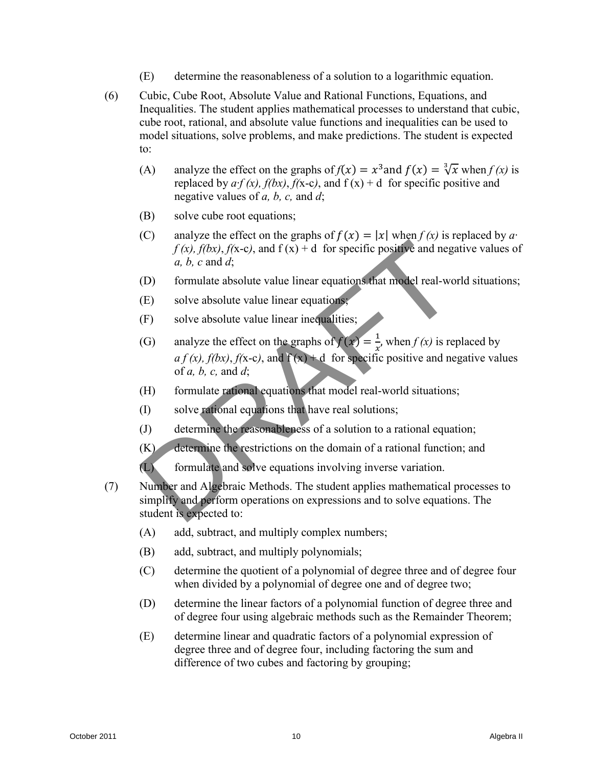- (E) determine the reasonableness of a solution to a logarithmic equation.
- (6) Cubic, Cube Root, Absolute Value and Rational Functions, Equations, and Inequalities. The student applies mathematical processes to understand that cubic, cube root, rational, and absolute value functions and inequalities can be used to model situations, solve problems, and make predictions. The student is expected to:
	- (A) analyze the effect on the graphs of  $f(x) = x^3$  and  $f(x) = \sqrt[3]{x}$  when  $f(x)$  is replaced by  $a \cdot f(x)$ ,  $f(bx)$ ,  $f(x-c)$ , and  $f(x) + d$  for specific positive and negative values of *a, b, c,* and *d*;
	- (B) solve cube root equations;
	- (C) analyze the effect on the graphs of  $f(x) = |x|$  when  $f(x)$  is replaced by  $a<sup>x</sup>$  $f(x)$ ,  $f(bx)$ ,  $f(x-c)$ , and  $f(x) + d$  for specific positive and negative values of *a, b, c* and *d*;
	- (D) formulate absolute value linear equations that model real-world situations;
	- (E) solve absolute value linear equations;
	- (F) solve absolute value linear inequalities;
- (G) analyze the effect on the graphs of  $f(x) = \frac{1}{x}$  $\frac{1}{x}$ , when  $f(x)$  is replaced by  $a f(x)$ ,  $f(bx)$ ,  $f(x-c)$ , and  $f(x) + d$  for specific positive and negative values of *a, b, c,* and *d*; (b) and  $f(x) = |x|$  because the control of the particle of the particle of the central of the central of the central of the central of the set of the central of the set of the central of the set of the set of the set of the
	- (H) formulate rational equations that model real-world situations;
	- (I) solve rational equations that have real solutions;
	- (J) determine the reasonableness of a solution to a rational equation;
	- (K) determine the restrictions on the domain of a rational function; and

(L) formulate and solve equations involving inverse variation.

- (7) Number and Algebraic Methods. The student applies mathematical processes to simplify and perform operations on expressions and to solve equations. The student is expected to:
	- (A) add, subtract, and multiply complex numbers;
	- (B) add, subtract, and multiply polynomials;
	- (C) determine the quotient of a polynomial of degree three and of degree four when divided by a polynomial of degree one and of degree two;
	- (D) determine the linear factors of a polynomial function of degree three and of degree four using algebraic methods such as the Remainder Theorem;
	- (E) determine linear and quadratic factors of a polynomial expression of degree three and of degree four, including factoring the sum and difference of two cubes and factoring by grouping;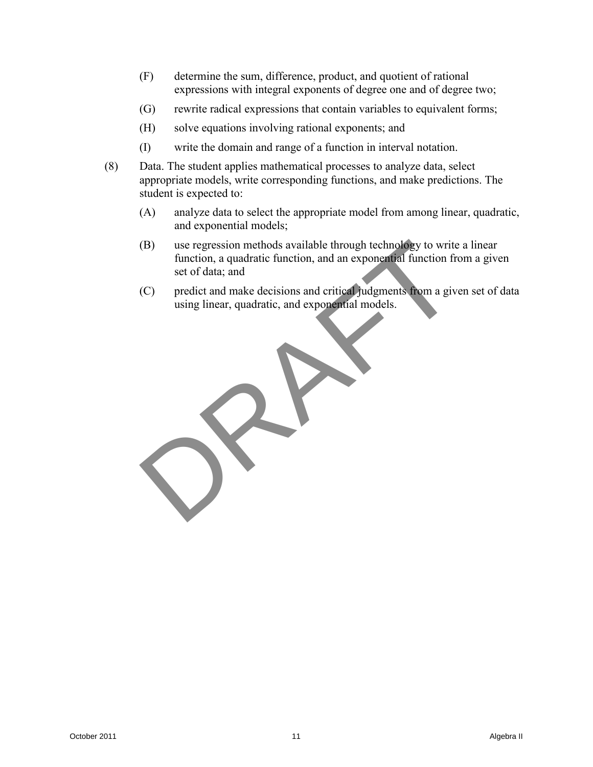- (F) determine the sum, difference, product, and quotient of rational expressions with integral exponents of degree one and of degree two;
- (G) rewrite radical expressions that contain variables to equivalent forms;
- (H) solve equations involving rational exponents; and
- (I) write the domain and range of a function in interval notation.
- (8) Data. The student applies mathematical processes to analyze data, select appropriate models, write corresponding functions, and make predictions. The student is expected to:
	- (A) analyze data to select the appropriate model from among linear, quadratic, and exponential models;
	- (B) use regression methods available through technology to write a linear function, a quadratic function, and an exponential function from a given set of data; and
	- (C) predict and make decisions and critical judgments from a given set of data using linear, quadratic, and exponential models.

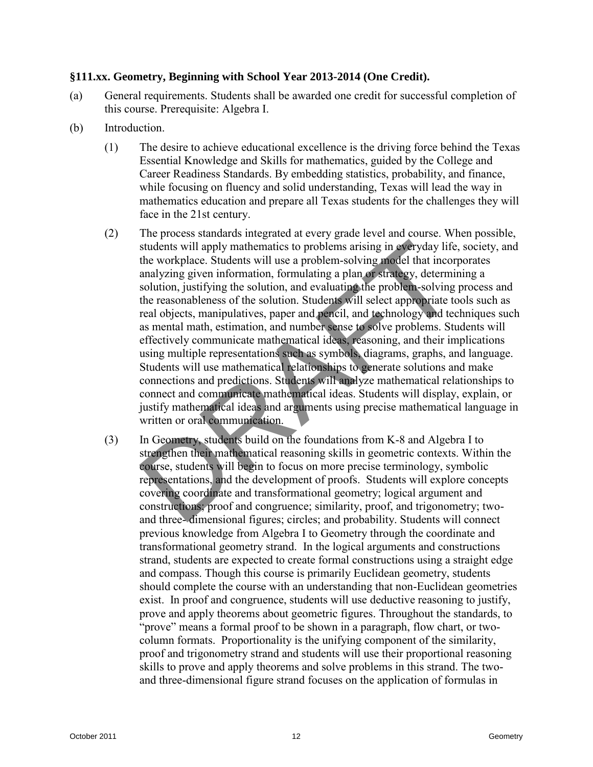#### **§111.xx. Geometry, Beginning with School Year 2013-2014 (One Credit).**

- (a) General requirements. Students shall be awarded one credit for successful completion of this course. Prerequisite: Algebra I.
- (b) Introduction.
	- (1) The desire to achieve educational excellence is the driving force behind the Texas Essential Knowledge and Skills for mathematics, guided by the College and Career Readiness Standards. By embedding statistics, probability, and finance, while focusing on fluency and solid understanding, Texas will lead the way in mathematics education and prepare all Texas students for the challenges they will face in the 21st century.
	- (2) The process standards integrated at every grade level and course. When possible, students will apply mathematics to problems arising in everyday life, society, and the workplace. Students will use a problem-solving model that incorporates analyzing given information, formulating a plan or strategy, determining a solution, justifying the solution, and evaluating the problem-solving process and the reasonableness of the solution. Students will select appropriate tools such as real objects, manipulatives, paper and pencil, and technology and techniques such as mental math, estimation, and number sense to solve problems. Students will effectively communicate mathematical ideas, reasoning, and their implications using multiple representations such as symbols, diagrams, graphs, and language. Students will use mathematical relationships to generate solutions and make connections and predictions. Students will analyze mathematical relationships to connect and communicate mathematical ideas. Students will display, explain, or justify mathematical ideas and arguments using precise mathematical language in written or oral communication.
- (3) In Geometry, students build on the foundations from K-8 and Algebra I to strengthen their mathematical reasoning skills in geometric contexts. Within the course, students will begin to focus on more precise terminology, symbolic representations, and the development of proofs. Students will explore concepts covering coordinate and transformational geometry; logical argument and constructions; proof and congruence; similarity, proof, and trigonometry; twoand three- dimensional figures; circles; and probability. Students will connect previous knowledge from Algebra I to Geometry through the coordinate and transformational geometry strand. In the logical arguments and constructions strand, students are expected to create formal constructions using a straight edge and compass. Though this course is primarily Euclidean geometry, students should complete the course with an understanding that non-Euclidean geometries exist. In proof and congruence, students will use deductive reasoning to justify, prove and apply theorems about geometric figures. Throughout the standards, to "prove" means a formal proof to be shown in a paragraph, flow chart, or twocolumn formats. Proportionality is the unifying component of the similarity, proof and trigonometry strand and students will use their proportional reasoning skills to prove and apply theorems and solve problems in this strand. The twoand three-dimensional figure strand focuses on the application of formulas in Contact the two states of the matter is the proportional figure states and the workplane states with the proportion and a problems arising in  $\Phi$ -crystay, and the workplane States interference states with use a problems a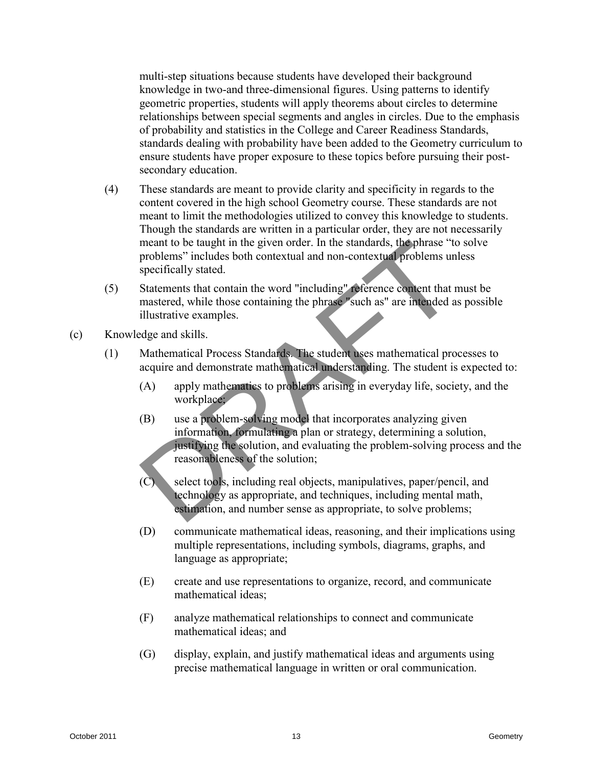multi-step situations because students have developed their background knowledge in two-and three-dimensional figures. Using patterns to identify geometric properties, students will apply theorems about circles to determine relationships between special segments and angles in circles. Due to the emphasis of probability and statistics in the College and Career Readiness Standards, standards dealing with probability have been added to the Geometry curriculum to ensure students have proper exposure to these topics before pursuing their postsecondary education.

- (4) These standards are meant to provide clarity and specificity in regards to the content covered in the high school Geometry course. These standards are not meant to limit the methodologies utilized to convey this knowledge to students. Though the standards are written in a particular order, they are not necessarily meant to be taught in the given order. In the standards, the phrase "to solve problems" includes both contextual and non-contextual problems unless specifically stated.
- (5) Statements that contain the word "including" reference content that must be mastered, while those containing the phrase "such as" are intended as possible illustrative examples.
- (c) Knowledge and skills.
	- (1) Mathematical Process Standards. The student uses mathematical processes to acquire and demonstrate mathematical understanding. The student is expected to:
		- (A) apply mathematics to problems arising in everyday life, society, and the workplace;
- (B) use a problem-solving model that incorporates analyzing given information, formulating a plan or strategy, determining a solution, justifying the solution, and evaluating the problem-solving process and the reasonableness of the solution; meant to be tought in the given order. In the standards, illepthnes "to solve problems" includes both contextual and non-contextual problems inclusive<br>specifically stated.<br>
(5) Statements hat contain the word "including" r
	- (C) select tools, including real objects, manipulatives, paper/pencil, and technology as appropriate, and techniques, including mental math, estimation, and number sense as appropriate, to solve problems;
	- (D) communicate mathematical ideas, reasoning, and their implications using multiple representations, including symbols, diagrams, graphs, and language as appropriate;
	- (E) create and use representations to organize, record, and communicate mathematical ideas;
	- (F) analyze mathematical relationships to connect and communicate mathematical ideas; and
	- (G) display, explain, and justify mathematical ideas and arguments using precise mathematical language in written or oral communication.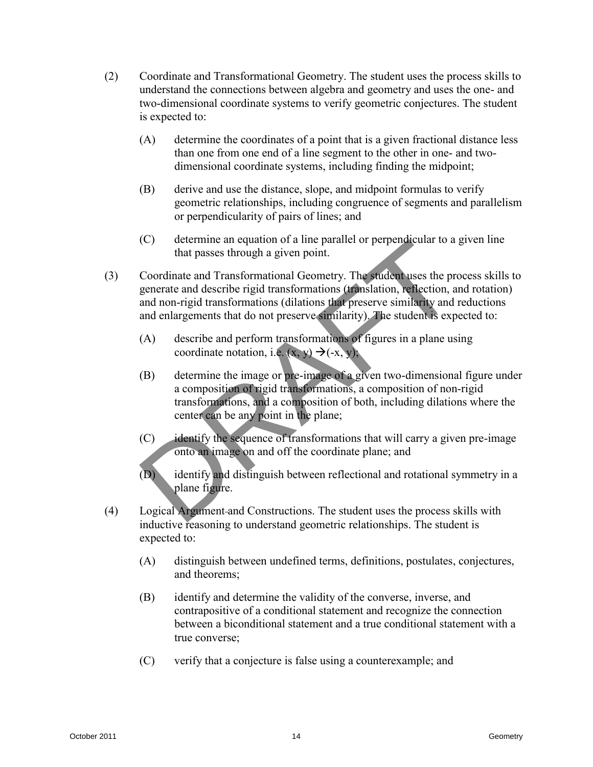- (2) Coordinate and Transformational Geometry. The student uses the process skills to understand the connections between algebra and geometry and uses the one- and two-dimensional coordinate systems to verify geometric conjectures. The student is expected to:
	- (A) determine the coordinates of a point that is a given fractional distance less than one from one end of a line segment to the other in one- and twodimensional coordinate systems, including finding the midpoint;
	- (B) derive and use the distance, slope, and midpoint formulas to verify geometric relationships, including congruence of segments and parallelism or perpendicularity of pairs of lines; and
	- (C) determine an equation of a line parallel or perpendicular to a given line that passes through a given point.
- (3) Coordinate and Transformational Geometry. The student uses the process skills to generate and describe rigid transformations (translation, reflection, and rotation) and non-rigid transformations (dilations that preserve similarity and reductions and enlargements that do not preserve similarity). The student is expected to: (C) distinguish throw in the particle of perpendicular to a given incomparison of the particle of the station and control of the station and control of the station and don't igodinations (distince in the station), which c
	- (A) describe and perform transformations of figures in a plane using coordinate notation, i.e.  $(x, y) \rightarrow (-x, y)$ ;
	- (B) determine the image or pre-image of a given two-dimensional figure under a composition of rigid transformations, a composition of non-rigid transformations, and a composition of both, including dilations where the center can be any point in the plane;
	- (C) identify the sequence of transformations that will carry a given pre-image onto an image on and off the coordinate plane; and
	- (D) identify and distinguish between reflectional and rotational symmetry in a plane figure.
	- (4) Logical Argument and Constructions. The student uses the process skills with inductive reasoning to understand geometric relationships. The student is expected to:
		- (A) distinguish between undefined terms, definitions, postulates, conjectures, and theorems;
		- (B) identify and determine the validity of the converse, inverse, and contrapositive of a conditional statement and recognize the connection between a biconditional statement and a true conditional statement with a true converse;
		- (C) verify that a conjecture is false using a counterexample; and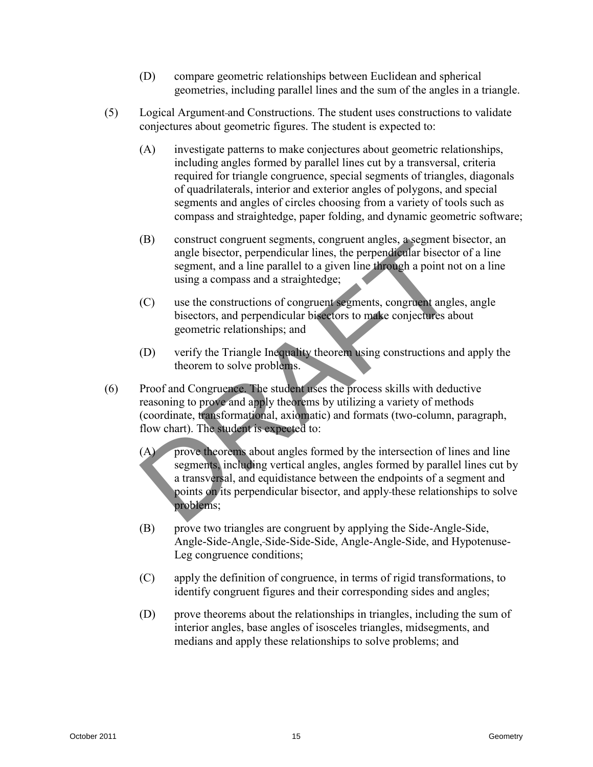- (D) compare geometric relationships between Euclidean and spherical geometries, including parallel lines and the sum of the angles in a triangle.
- (5) Logical Argument and Constructions. The student uses constructions to validate conjectures about geometric figures. The student is expected to:
	- (A) investigate patterns to make conjectures about geometric relationships, including angles formed by parallel lines cut by a transversal, criteria required for triangle congruence, special segments of triangles, diagonals of quadrilaterals, interior and exterior angles of polygons, and special segments and angles of circles choosing from a variety of tools such as compass and straightedge, paper folding, and dynamic geometric software;
	- (B) construct congruent segments, congruent angles, a segment bisector, an angle bisector, perpendicular lines, the perpendicular bisector of a line segment, and a line parallel to a given line through a point not on a line using a compass and a straightedge;
	- (C) use the constructions of congruent segments, congruent angles, angle bisectors, and perpendicular bisectors to make conjectures about geometric relationships; and
	- (D) verify the Triangle Inequality theorem using constructions and apply the theorem to solve problems.
- (6) Proof and Congruence. The student uses the process skills with deductive reasoning to prove and apply theorems by utilizing a variety of methods (coordinate, transformational, axiomatic) and formats (two-column, paragraph, flow chart). The student is expected to:
- (A) prove theorems about angles formed by the intersection of lines and line segments, including vertical angles, angles formed by parallel lines cut by a transversal, and equidistance between the endpoints of a segment and points on its perpendicular bisector, and apply these relationships to solve problems; (B) construct congress to an einer proportion in angular and the proportion becomes a sampled bisector, perpendicular lines, the perpendicular bisector of a line segment and aline parallel to a given line directions of co
	- (B) prove two triangles are congruent by applying the Side-Angle-Side, Angle-Side-Angle, Side-Side-Side, Angle-Angle-Side, and Hypotenuse-Leg congruence conditions;
	- (C) apply the definition of congruence, in terms of rigid transformations, to identify congruent figures and their corresponding sides and angles;
	- (D) prove theorems about the relationships in triangles, including the sum of interior angles, base angles of isosceles triangles, midsegments, and medians and apply these relationships to solve problems; and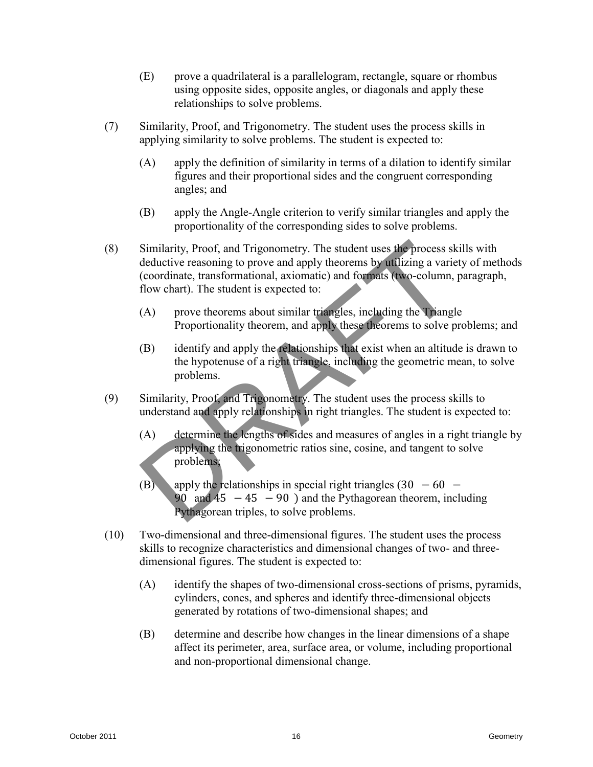- (E) prove a quadrilateral is a parallelogram, rectangle, square or rhombus using opposite sides, opposite angles, or diagonals and apply these relationships to solve problems.
- (7) Similarity, Proof, and Trigonometry. The student uses the process skills in applying similarity to solve problems. The student is expected to:
	- (A) apply the definition of similarity in terms of a dilation to identify similar figures and their proportional sides and the congruent corresponding angles; and
	- (B) apply the Angle-Angle criterion to verify similar triangles and apply the proportionality of the corresponding sides to solve problems.
- (8) Similarity, Proof, and Trigonometry. The student uses the process skills with deductive reasoning to prove and apply theorems by utilizing a variety of methods (coordinate, transformational, axiomatic) and formats (two-column, paragraph, flow chart). The student is expected to: (8) Similarity, Proof, and Trigonometry. The student uses the process skills with<br>deductive reasoning to prove and apply theorems, by fitting a variety of methods<br>(coordinate, transformational, axiomatic) and formatio ( $\$ 
	- (A) prove theorems about similar triangles, including the Triangle Proportionality theorem, and apply these theorems to solve problems; and
	- (B) identify and apply the relationships that exist when an altitude is drawn to the hypotenuse of a right triangle, including the geometric mean, to solve problems.
	- (9) Similarity, Proof, and Trigonometry. The student uses the process skills to understand and apply relationships in right triangles. The student is expected to:
		- (A) determine the lengths of sides and measures of angles in a right triangle by applying the trigonometric ratios sine, cosine, and tangent to solve problems;
		- (B) apply the relationships in special right triangles  $(30 60 -$ 90 and  $45 - 45 - 90$  ) and the Pythagorean theorem, including Pythagorean triples, to solve problems.
	- (10) Two-dimensional and three-dimensional figures. The student uses the process skills to recognize characteristics and dimensional changes of two- and threedimensional figures. The student is expected to:
		- (A) identify the shapes of two-dimensional cross-sections of prisms, pyramids, cylinders, cones, and spheres and identify three-dimensional objects generated by rotations of two-dimensional shapes; and
		- (B) determine and describe how changes in the linear dimensions of a shape affect its perimeter, area, surface area, or volume, including proportional and non-proportional dimensional change.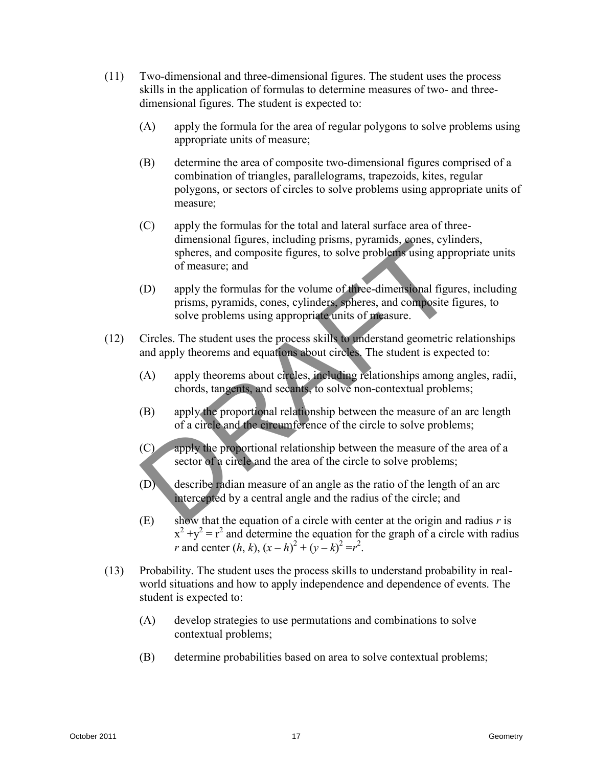- (11) Two-dimensional and three-dimensional figures. The student uses the process skills in the application of formulas to determine measures of two- and threedimensional figures. The student is expected to:
	- (A) apply the formula for the area of regular polygons to solve problems using appropriate units of measure;
	- (B) determine the area of composite two-dimensional figures comprised of a combination of triangles, parallelograms, trapezoids, kites, regular polygons, or sectors of circles to solve problems using appropriate units of measure;
	- (C) apply the formulas for the total and lateral surface area of threedimensional figures, including prisms, pyramids, cones, cylinders, spheres, and composite figures, to solve problems using appropriate units of measure; and
	- (D) apply the formulas for the volume of three-dimensional figures, including prisms, pyramids, cones, cylinders, spheres, and composite figures, to solve problems using appropriate units of measure.
- (12) Circles. The student uses the process skills to understand geometric relationships and apply theorems and equations about circles. The student is expected to:
	- (A) apply theorems about circles, including relationships among angles, radii, chords, tangents, and secants, to solve non-contextual problems;
	- (B) apply the proportional relationship between the measure of an arc length of a circle and the circumference of the circle to solve problems;
	- (C) apply the proportional relationship between the measure of the area of a sector of a circle and the area of the circle to solve problems;
	- (D) describe radian measure of an angle as the ratio of the length of an arc intercepted by a central angle and the radius of the circle; and
	- (E) show that the equation of a circle with center at the origin and radius *r* is  $x^{2} + y^{2} = r^{2}$  and determine the equation for the graph of a circle with radius *r* and center  $(h, k), (x - h)^2 + (y - k)^2 = r^2$ .
- (13) Probability. The student uses the process skills to understand probability in realworld situations and how to apply independence and dependence of events. The student is expected to: dimensional highers, including prisms, pyramids, sometic spaces, cylinders, the comparison properate units<br>
of measure; and<br>
(D) apply the formulas for the volume of three-dimensional figures, including<br>
prisms, pyramids,
	- (A) develop strategies to use permutations and combinations to solve contextual problems;
	- (B) determine probabilities based on area to solve contextual problems;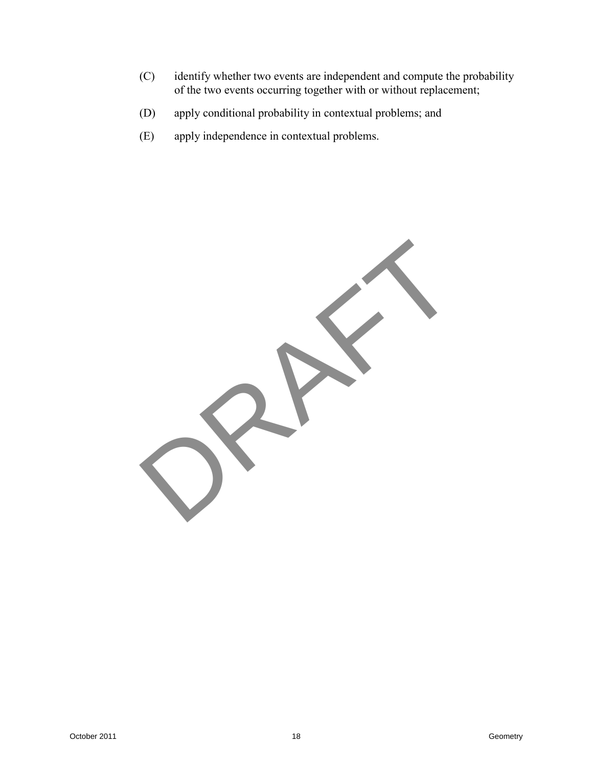- (C) identify whether two events are independent and compute the probability of the two events occurring together with or without replacement;
- (D) apply conditional probability in contextual problems; and
- (E) apply independence in contextual problems.

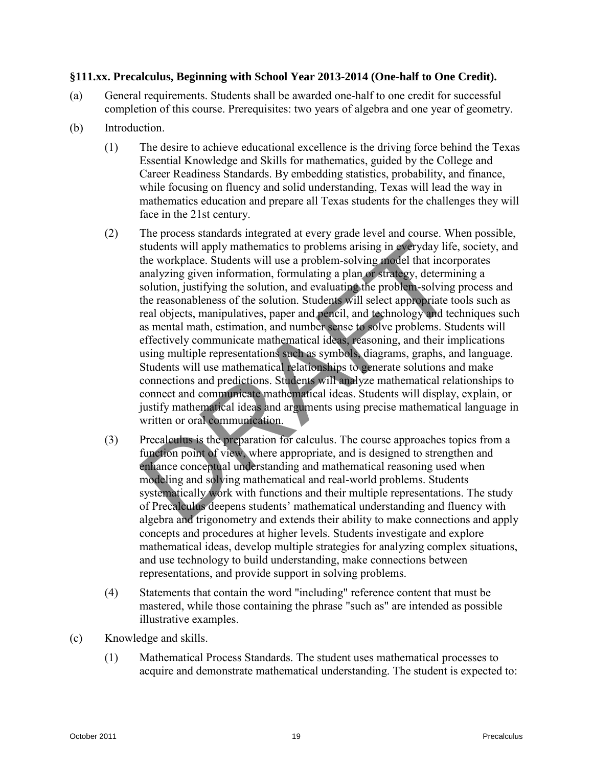## **§111.xx. Precalculus, Beginning with School Year 2013-2014 (One-half to One Credit).**

- (a) General requirements. Students shall be awarded one-half to one credit for successful completion of this course. Prerequisites: two years of algebra and one year of geometry.
- (b) Introduction.
	- (1) The desire to achieve educational excellence is the driving force behind the Texas Essential Knowledge and Skills for mathematics, guided by the College and Career Readiness Standards. By embedding statistics, probability, and finance, while focusing on fluency and solid understanding, Texas will lead the way in mathematics education and prepare all Texas students for the challenges they will face in the 21st century.
- (2) The process standards integrated at every grade level and course. When possible, students will apply mathematics to problems arising in everyday life, society, and the workplace. Students will use a problem-solving model that incorporates analyzing given information, formulating a plan or strategy, determining a solution, justifying the solution, and evaluating the problem-solving process and the reasonableness of the solution. Students will select appropriate tools such as real objects, manipulatives, paper and pencil, and technology and techniques such as mental math, estimation, and number sense to solve problems. Students will effectively communicate mathematical ideas, reasoning, and their implications using multiple representations such as symbols, diagrams, graphs, and language. Students will use mathematical relationships to generate solutions and make connections and predictions. Students will analyze mathematical relationships to connect and communicate mathematical ideas. Students will display, explain, or justify mathematical ideas and arguments using precise mathematical language in written or oral communication. Extractation in the method in the prophenal of the state contents will apply mathematics to problems arising in  $\Phi$ -erdpaty life, society, and<br>the workplace Students will use a problems achieving model that necoporate<br>an
	- (3) Precalculus is the preparation for calculus. The course approaches topics from a function point of view, where appropriate, and is designed to strengthen and enhance conceptual understanding and mathematical reasoning used when modeling and solving mathematical and real-world problems. Students systematically work with functions and their multiple representations. The study of Precalculus deepens students' mathematical understanding and fluency with algebra and trigonometry and extends their ability to make connections and apply concepts and procedures at higher levels. Students investigate and explore mathematical ideas, develop multiple strategies for analyzing complex situations, and use technology to build understanding, make connections between representations, and provide support in solving problems.
	- (4) Statements that contain the word "including" reference content that must be mastered, while those containing the phrase "such as" are intended as possible illustrative examples.
- (c) Knowledge and skills.
	- (1) Mathematical Process Standards. The student uses mathematical processes to acquire and demonstrate mathematical understanding. The student is expected to: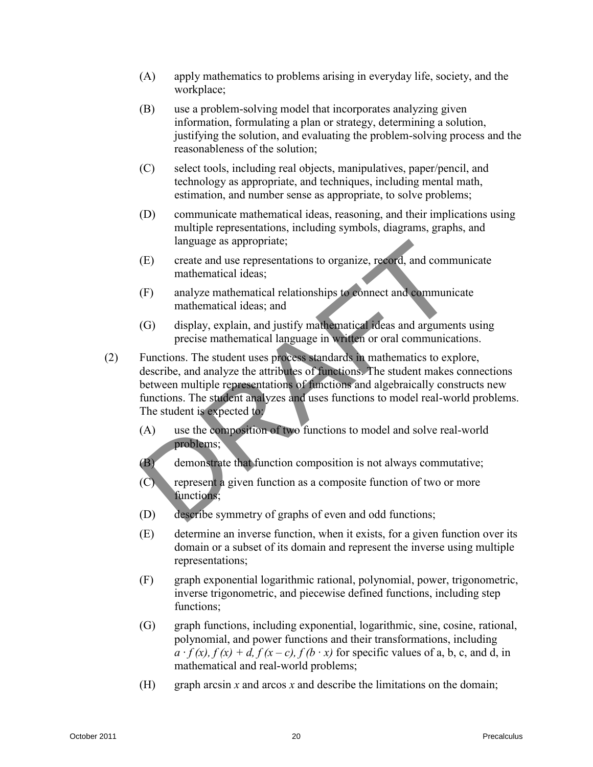- (A) apply mathematics to problems arising in everyday life, society, and the workplace;
- (B) use a problem-solving model that incorporates analyzing given information, formulating a plan or strategy, determining a solution, justifying the solution, and evaluating the problem-solving process and the reasonableness of the solution;
- (C) select tools, including real objects, manipulatives, paper/pencil, and technology as appropriate, and techniques, including mental math, estimation, and number sense as appropriate, to solve problems;
- (D) communicate mathematical ideas, reasoning, and their implications using multiple representations, including symbols, diagrams, graphs, and language as appropriate;
- (E) create and use representations to organize, record, and communicate mathematical ideas;
- (F) analyze mathematical relationships to connect and communicate mathematical ideas; and
- (G) display, explain, and justify mathematical ideas and arguments using precise mathematical language in written or oral communications.
- (2) Functions. The student uses process standards in mathematics to explore, describe, and analyze the attributes of functions. The student makes connections between multiple representations of functions and algebraically constructs new functions. The student analyzes and uses functions to model real-world problems. The student is expected to: Implange as appropriate;<br>
(Figure as any operatorions to organize, record, and communicate<br>
ranking mathematical ideas,<br>
(F) analyze muthematical ideas, and<br>
mathematical ideas, and<br>
(G) display, explain, and justify math
	- (A) use the composition of two functions to model and solve real-world problems;
	- (B) demonstrate that function composition is not always commutative;
	- (C) represent a given function as a composite function of two or more functions;
	- (D) describe symmetry of graphs of even and odd functions;
	- (E) determine an inverse function, when it exists, for a given function over its domain or a subset of its domain and represent the inverse using multiple representations;
	- (F) graph exponential logarithmic rational, polynomial, power, trigonometric, inverse trigonometric, and piecewise defined functions, including step functions;
	- (G) graph functions, including exponential, logarithmic, sine, cosine, rational, polynomial, and power functions and their transformations, including  $a \cdot f(x)$ ,  $f(x) + d$ ,  $f(x - c)$ ,  $f(b \cdot x)$  for specific values of a, b, c, and d, in mathematical and real-world problems;
	- (H) graph arcsin *x* and arcos *x* and describe the limitations on the domain;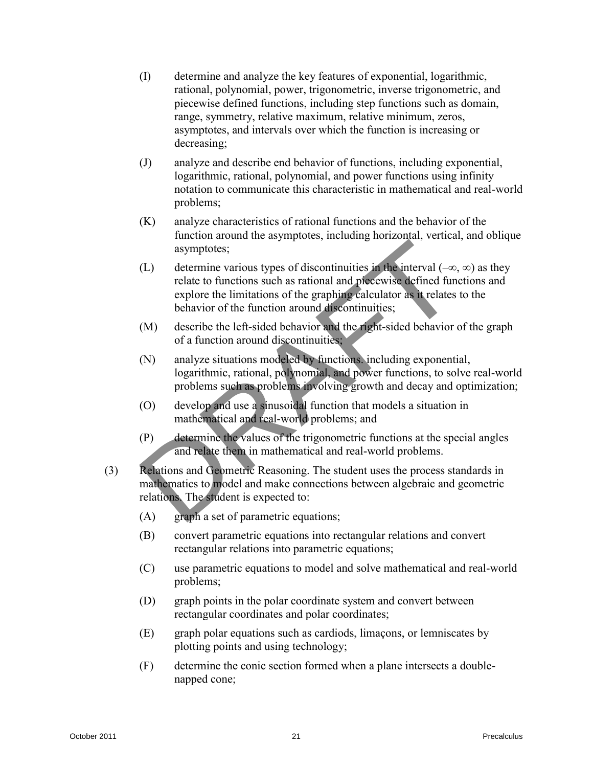- (I) determine and analyze the key features of exponential, logarithmic, rational, polynomial, power, trigonometric, inverse trigonometric, and piecewise defined functions, including step functions such as domain, range, symmetry, relative maximum, relative minimum, zeros, asymptotes, and intervals over which the function is increasing or decreasing;
- (J) analyze and describe end behavior of functions, including exponential, logarithmic, rational, polynomial, and power functions using infinity notation to communicate this characteristic in mathematical and real-world problems;
- (K) analyze characteristics of rational functions and the behavior of the function around the asymptotes, including horizontal, vertical, and oblique asymptotes;
- (L) determine various types of discontinuities in the interval  $(-\infty, \infty)$  as they relate to functions such as rational and piecewise defined functions and explore the limitations of the graphing calculator as it relates to the behavior of the function around discontinuities; Example the system of the system of the system of the system of the system and the system of the system of the system of the system of the system of the system of the system of the system of the system of the system of th
	- (M) describe the left-sided behavior and the right-sided behavior of the graph of a function around discontinuities;
	- (N) analyze situations modeled by functions. including exponential, logarithmic, rational, polynomial, and power functions, to solve real-world problems such as problems involving growth and decay and optimization;
	- (O) develop and use a sinusoidal function that models a situation in mathematical and real-world problems; and
	- (P) determine the values of the trigonometric functions at the special angles and relate them in mathematical and real-world problems.
	- (3) Relations and Geometric Reasoning. The student uses the process standards in mathematics to model and make connections between algebraic and geometric relations. The student is expected to:
		- (A) graph a set of parametric equations;
		- (B) convert parametric equations into rectangular relations and convert rectangular relations into parametric equations;
		- (C) use parametric equations to model and solve mathematical and real-world problems;
		- (D) graph points in the polar coordinate system and convert between rectangular coordinates and polar coordinates;
		- (E) graph polar equations such as cardiods, limaçons, or lemniscates by plotting points and using technology;
		- (F) determine the conic section formed when a plane intersects a doublenapped cone;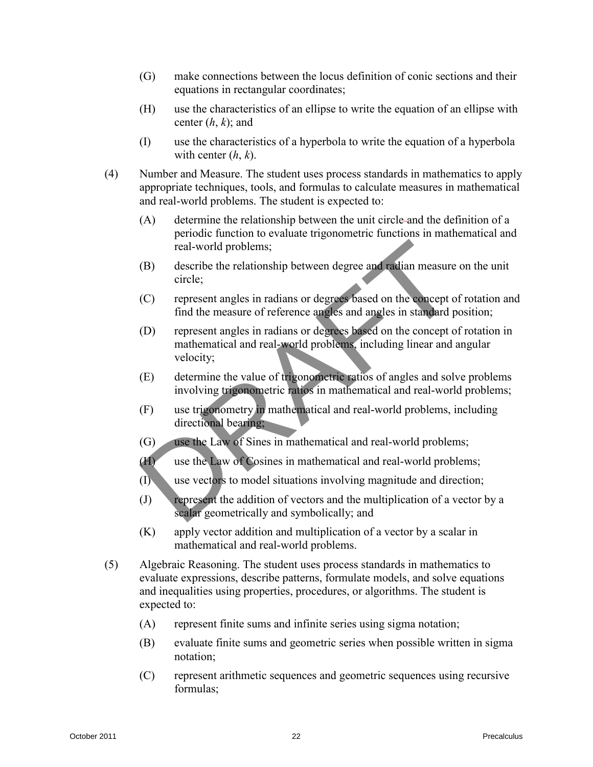- (G) make connections between the locus definition of conic sections and their equations in rectangular coordinates;
- (H) use the characteristics of an ellipse to write the equation of an ellipse with center (*h*, *k*); and
- (I) use the characteristics of a hyperbola to write the equation of a hyperbola with center (*h*, *k*).
- (4) Number and Measure. The student uses process standards in mathematics to apply appropriate techniques, tools, and formulas to calculate measures in mathematical and real-world problems. The student is expected to:
	- (A) determine the relationship between the unit circle and the definition of a periodic function to evaluate trigonometric functions in mathematical and real-world problems;
	- (B) describe the relationship between degree and radian measure on the unit circle;
	- (C) represent angles in radians or degrees based on the concept of rotation and find the measure of reference angles and angles in standard position;
	- (D) represent angles in radians or degrees based on the concept of rotation in mathematical and real-world problems, including linear and angular velocity;
	- (E) determine the value of trigonometric ratios of angles and solve problems involving trigonometric ratios in mathematical and real-world problems;
	- (F) use trigonometry in mathematical and real-world problems, including directional bearing;
	- (G) use the Law of Sines in mathematical and real-world problems;
	- (H) use the Law of Cosines in mathematical and real-world problems;
	- (I) use vectors to model situations involving magnitude and direction;
	- (J) represent the addition of vectors and the multiplication of a vector by a scalar geometrically and symbolically; and
	- (K) apply vector addition and multiplication of a vector by a scalar in mathematical and real-world problems.
- (5) Algebraic Reasoning. The student uses process standards in mathematics to evaluate expressions, describe patterns, formulate models, and solve equations and inequalities using properties, procedures, or algorithms. The student is expected to: Fraction of the measurement of the measurement of the stationary contribute the control of the term and the station of the control of the measure of the term and the measure of the control of the measure of the control of
	- (A) represent finite sums and infinite series using sigma notation;
	- (B) evaluate finite sums and geometric series when possible written in sigma notation;
	- (C) represent arithmetic sequences and geometric sequences using recursive formulas;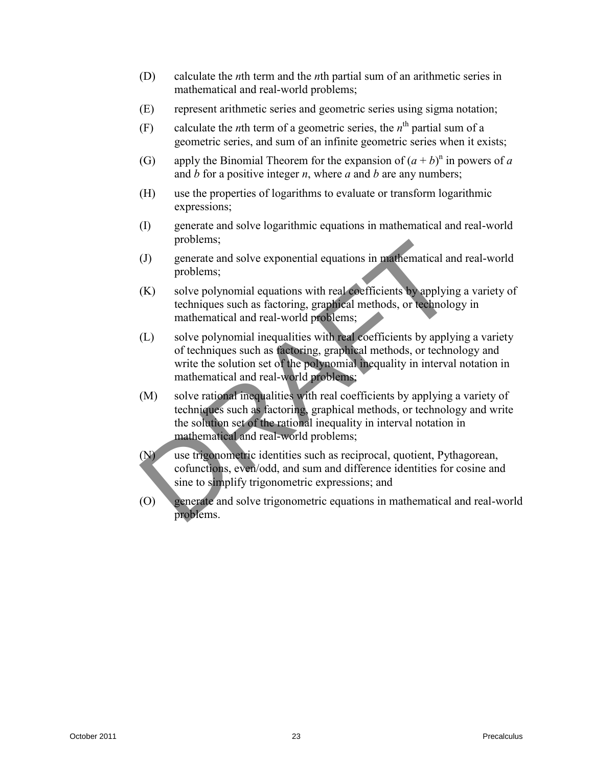- (D) calculate the *n*th term and the *n*th partial sum of an arithmetic series in mathematical and real-world problems;
- (E) represent arithmetic series and geometric series using sigma notation;
- (F) calculate the *n*th term of a geometric series, the  $n^{\text{th}}$  partial sum of a geometric series, and sum of an infinite geometric series when it exists;
- (G) apply the Binomial Theorem for the expansion of  $(a + b)^n$  in powers of *a* and *b* for a positive integer *n*, where *a* and *b* are any numbers;
- (H) use the properties of logarithms to evaluate or transform logarithmic expressions;
- (I) generate and solve logarithmic equations in mathematical and real-world problems;
- (J) generate and solve exponential equations in mathematical and real-world problems;
- (K) solve polynomial equations with real coefficients by applying a variety of techniques such as factoring, graphical methods, or technology in mathematical and real-world problems;
- (L) solve polynomial inequalities with real coefficients by applying a variety of techniques such as factoring, graphical methods, or technology and write the solution set of the polynomial inequality in interval notation in mathematical and real-world problems;
- (M) solve rational inequalities with real coefficients by applying a variety of techniques such as factoring, graphical methods, or technology and write the solution set of the rational inequality in interval notation in mathematical and real-world problems; problems;<br>
(1) generate and solve exponential equations on mathematical and real-world<br>
problems;<br>
(K) solve polynomial equations with real-ordinations with proplying a variety of<br>
techniques such as factoring, graphical m
	- (N) use trigonometric identities such as reciprocal, quotient, Pythagorean, cofunctions, even/odd, and sum and difference identities for cosine and sine to simplify trigonometric expressions; and
	- (O) generate and solve trigonometric equations in mathematical and real-world problems.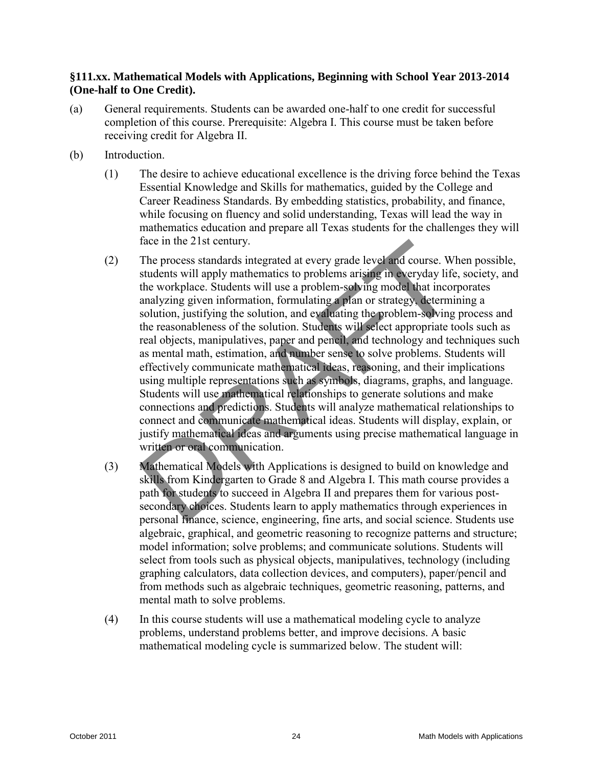# **§111.xx. Mathematical Models with Applications, Beginning with School Year 2013-2014 (One-half to One Credit).**

- (a) General requirements. Students can be awarded one-half to one credit for successful completion of this course. Prerequisite: Algebra I. This course must be taken before receiving credit for Algebra II.
- (b) Introduction.
	- (1) The desire to achieve educational excellence is the driving force behind the Texas Essential Knowledge and Skills for mathematics, guided by the College and Career Readiness Standards. By embedding statistics, probability, and finance, while focusing on fluency and solid understanding, Texas will lead the way in mathematics education and prepare all Texas students for the challenges they will face in the 21st century.
- (2) The process standards integrated at every grade level and course. When possible, students will apply mathematics to problems arising in everyday life, society, and the workplace. Students will use a problem-solving model that incorporates analyzing given information, formulating a plan or strategy, determining a solution, justifying the solution, and evaluating the problem-solving process and the reasonableness of the solution. Students will select appropriate tools such as real objects, manipulatives, paper and pencil, and technology and techniques such as mental math, estimation, and number sense to solve problems. Students will effectively communicate mathematical ideas, reasoning, and their implications using multiple representations such as symbols, diagrams, graphs, and language. Students will use mathematical relationships to generate solutions and make connections and predictions. Students will analyze mathematical relationships to connect and communicate mathematical ideas. Students will display, explain, or justify mathematical ideas and arguments using precise mathematical language in written or oral communication. face in the 21st century.<br>
(2) The process standards integrated at every grade level and course. When possible,<br>
students will apply mathematics to problems arising ine everyday life, scorety, and<br>
the workphase. Students
	- (3) Mathematical Models with Applications is designed to build on knowledge and skills from Kindergarten to Grade 8 and Algebra I. This math course provides a path for students to succeed in Algebra II and prepares them for various postsecondary choices. Students learn to apply mathematics through experiences in personal finance, science, engineering, fine arts, and social science. Students use algebraic, graphical, and geometric reasoning to recognize patterns and structure; model information; solve problems; and communicate solutions. Students will select from tools such as physical objects, manipulatives, technology (including graphing calculators, data collection devices, and computers), paper/pencil and from methods such as algebraic techniques, geometric reasoning, patterns, and mental math to solve problems.
	- (4) In this course students will use a mathematical modeling cycle to analyze problems, understand problems better, and improve decisions. A basic mathematical modeling cycle is summarized below. The student will: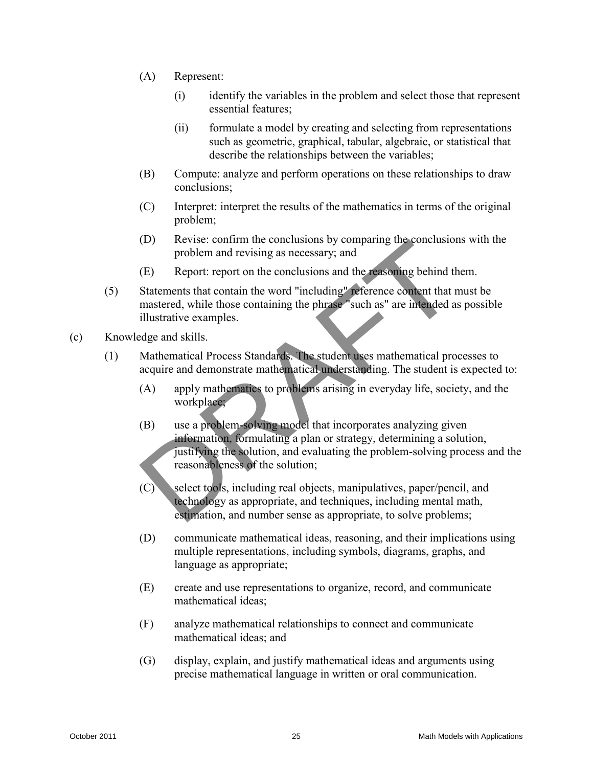- (A) Represent:
	- (i) identify the variables in the problem and select those that represent essential features;
	- (ii) formulate a model by creating and selecting from representations such as geometric, graphical, tabular, algebraic, or statistical that describe the relationships between the variables;
- (B) Compute: analyze and perform operations on these relationships to draw conclusions;
- (C) Interpret: interpret the results of the mathematics in terms of the original problem;
- (D) Revise: confirm the conclusions by comparing the conclusions with the problem and revising as necessary; and
- (E) Report: report on the conclusions and the reasoning behind them.
- (5) Statements that contain the word "including" reference content that must be mastered, while those containing the phrase "such as" are intended as possible illustrative examples.
- (c) Knowledge and skills.
	- (1) Mathematical Process Standards. The student uses mathematical processes to acquire and demonstrate mathematical understanding. The student is expected to:
		- (A) apply mathematics to problems arising in everyday life, society, and the workplace;
- (B) use a problem-solving model that incorporates analyzing given information, formulating a plan or strategy, determining a solution, justifying the solution, and evaluating the problem-solving process and the reasonableness of the solution; (D) Revises: continue the conclusions by comparing the conclusions with the problem and revising as necessary; and<br>
(E) Report: report on the conclusions and the fraction gelealing behind them.<br>
(S) Stepart: report on the
	- (C) select tools, including real objects, manipulatives, paper/pencil, and technology as appropriate, and techniques, including mental math, estimation, and number sense as appropriate, to solve problems;
	- (D) communicate mathematical ideas, reasoning, and their implications using multiple representations, including symbols, diagrams, graphs, and language as appropriate;
	- (E) create and use representations to organize, record, and communicate mathematical ideas;
	- (F) analyze mathematical relationships to connect and communicate mathematical ideas; and
	- (G) display, explain, and justify mathematical ideas and arguments using precise mathematical language in written or oral communication.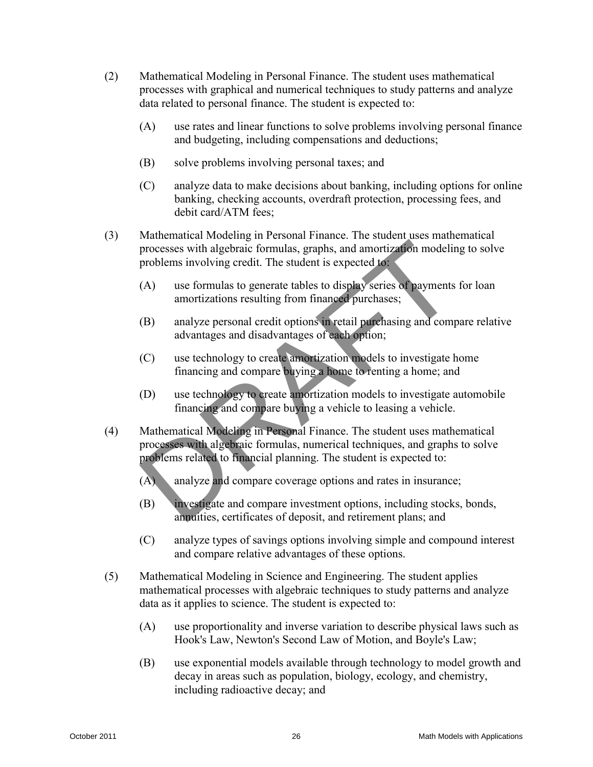- (2) Mathematical Modeling in Personal Finance. The student uses mathematical processes with graphical and numerical techniques to study patterns and analyze data related to personal finance. The student is expected to:
	- (A) use rates and linear functions to solve problems involving personal finance and budgeting, including compensations and deductions;
	- (B) solve problems involving personal taxes; and
	- (C) analyze data to make decisions about banking, including options for online banking, checking accounts, overdraft protection, processing fees, and debit card/ATM fees;
- (3) Mathematical Modeling in Personal Finance. The student uses mathematical processes with algebraic formulas, graphs, and amortization modeling to solve problems involving credit. The student is expected to:
	- (A) use formulas to generate tables to display series of payments for loan amortizations resulting from financed purchases;
	- (B) analyze personal credit options in retail purchasing and compare relative advantages and disadvantages of each option;
	- (C) use technology to create amortization models to investigate home financing and compare buying a home to renting a home; and
	- (D) use technology to create amortization models to investigate automobile financing and compare buying a vehicle to leasing a vehicle.
- (4) Mathematical Modeling in Personal Finance. The student uses mathematical processes with algebraic formulas, numerical techniques, and graphs to solve problems related to financial planning. The student is expected to: or analysis in the studient of the studient scheme in the studient of the studients of problems involving credit. The studient is expected to problems involving credit. The studient is expected to a mortization another st
	- (A) analyze and compare coverage options and rates in insurance;
	- (B) investigate and compare investment options, including stocks, bonds, annuities, certificates of deposit, and retirement plans; and
	- (C) analyze types of savings options involving simple and compound interest and compare relative advantages of these options.
	- (5) Mathematical Modeling in Science and Engineering. The student applies mathematical processes with algebraic techniques to study patterns and analyze data as it applies to science. The student is expected to:
		- (A) use proportionality and inverse variation to describe physical laws such as Hook's Law, Newton's Second Law of Motion, and Boyle's Law;
		- (B) use exponential models available through technology to model growth and decay in areas such as population, biology, ecology, and chemistry, including radioactive decay; and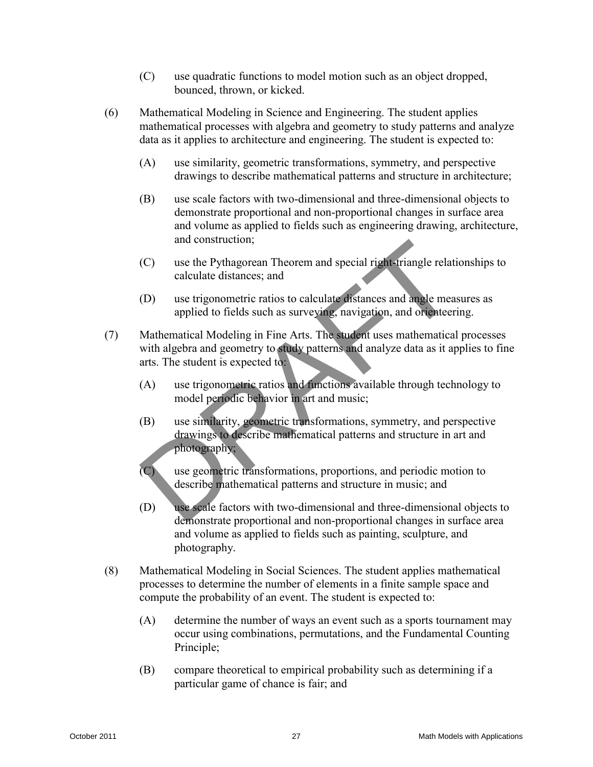- (C) use quadratic functions to model motion such as an object dropped, bounced, thrown, or kicked.
- (6) Mathematical Modeling in Science and Engineering. The student applies mathematical processes with algebra and geometry to study patterns and analyze data as it applies to architecture and engineering. The student is expected to:
	- (A) use similarity, geometric transformations, symmetry, and perspective drawings to describe mathematical patterns and structure in architecture;
	- (B) use scale factors with two-dimensional and three-dimensional objects to demonstrate proportional and non-proportional changes in surface area and volume as applied to fields such as engineering drawing, architecture, and construction;
	- (C) use the Pythagorean Theorem and special right-triangle relationships to calculate distances; and
	- (D) use trigonometric ratios to calculate distances and angle measures as applied to fields such as surveying, navigation, and orienteering.
- (7) Mathematical Modeling in Fine Arts. The student uses mathematical processes with algebra and geometry to study patterns and analyze data as it applies to fine arts. The student is expected to:
	- (A) use trigonometric ratios and functions available through technology to model periodic behavior in art and music;
	- (B) use similarity, geometric transformations, symmetry, and perspective drawings to describe mathematical patterns and structure in art and photography;
	- (C) use geometric transformations, proportions, and periodic motion to describe mathematical patterns and structure in music; and
- (D) use scale factors with two-dimensional and three-dimensional objects to demonstrate proportional and non-proportional changes in surface area and volume as applied to fields such as painting, sculpture, and photography. and construction;<br>
(C) use the pythagorean Theorem and special rightstrangle relationships to<br>
cellulate distances; and<br>
(D) the rigonometric ratios to calculate distances and angle measures as<br>
applied to fields such as s
	- (8) Mathematical Modeling in Social Sciences. The student applies mathematical processes to determine the number of elements in a finite sample space and compute the probability of an event. The student is expected to:
		- (A) determine the number of ways an event such as a sports tournament may occur using combinations, permutations, and the Fundamental Counting Principle;
		- (B) compare theoretical to empirical probability such as determining if a particular game of chance is fair; and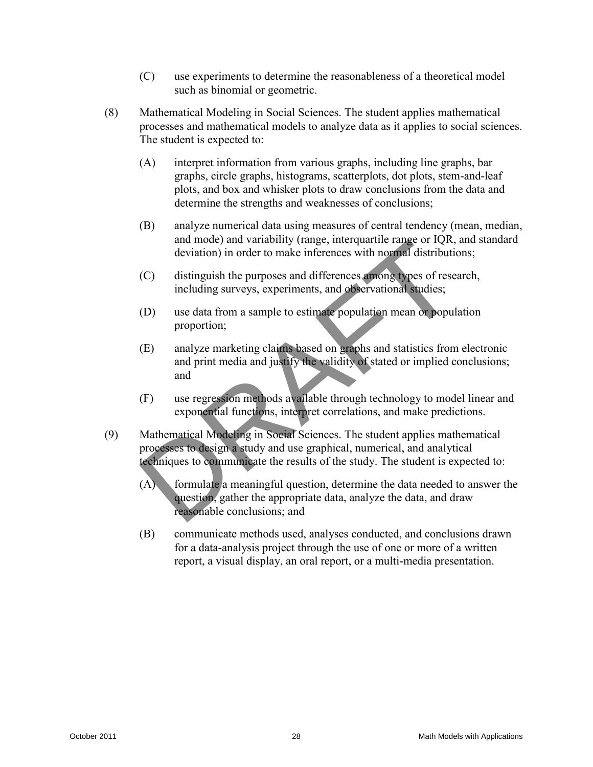- (C) use experiments to determine the reasonableness of a theoretical model such as binomial or geometric.
- (8) Mathematical Modeling in Social Sciences. The student applies mathematical processes and mathematical models to analyze data as it applies to social sciences. The student is expected to:
	- (A) interpret information from various graphs, including line graphs, bar graphs, circle graphs, histograms, scatterplots, dot plots, stem-and-leaf plots, and box and whisker plots to draw conclusions from the data and determine the strengths and weaknesses of conclusions;
	- (B) analyze numerical data using measures of central tendency (mean, median, and mode) and variability (range, interquartile range or IQR, and standard deviation) in order to make inferences with normal distributions;
	- (C) distinguish the purposes and differences among types of research, including surveys, experiments, and observational studies;
	- (D) use data from a sample to estimate population mean or population proportion;
	- (E) analyze marketing claims based on graphs and statistics from electronic and print media and justify the validity of stated or implied conclusions; and
	- (F) use regression methods available through technology to model linear and exponential functions, interpret correlations, and make predictions.
- (9) Mathematical Modeling in Social Sciences. The student applies mathematical processes to design a study and use graphical, numerical, and analytical techniques to communicate the results of the study. The student is expected to: and mode) and variability (range, interparate range or 100, and standard<br>deviation) in order to make inferences with normal distributions;<br>(C) distinguish the purposes and differences with normal agency.<br>The distributions
	- (A) formulate a meaningful question, determine the data needed to answer the question, gather the appropriate data, analyze the data, and draw reasonable conclusions; and
	- (B) communicate methods used, analyses conducted, and conclusions drawn for a data-analysis project through the use of one or more of a written report, a visual display, an oral report, or a multi-media presentation.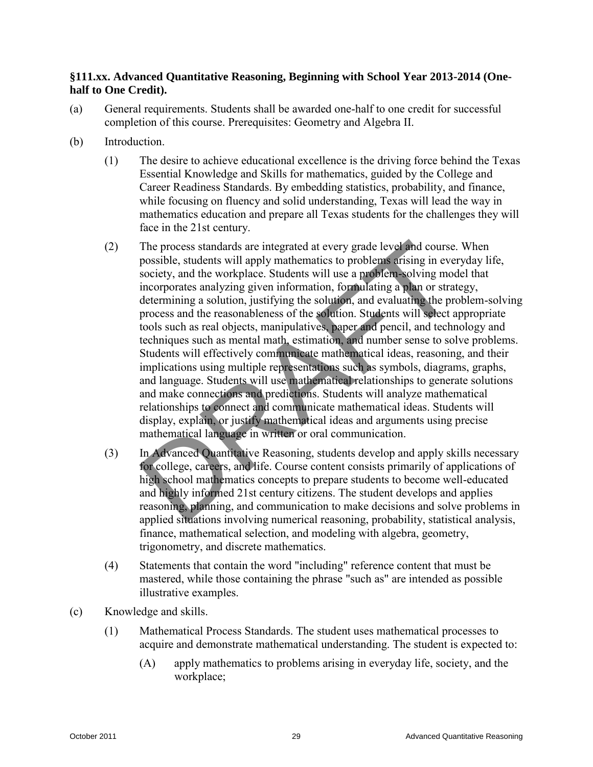# **§111.xx. Advanced Quantitative Reasoning, Beginning with School Year 2013-2014 (Onehalf to One Credit).**

- (a) General requirements. Students shall be awarded one-half to one credit for successful completion of this course. Prerequisites: Geometry and Algebra II.
- (b) Introduction.
	- (1) The desire to achieve educational excellence is the driving force behind the Texas Essential Knowledge and Skills for mathematics, guided by the College and Career Readiness Standards. By embedding statistics, probability, and finance, while focusing on fluency and solid understanding, Texas will lead the way in mathematics education and prepare all Texas students for the challenges they will face in the 21st century.
- (2) The process standards are integrated at every grade level and course. When possible, students will apply mathematics to problems arising in everyday life, society, and the workplace. Students will use a problem-solving model that incorporates analyzing given information, formulating a plan or strategy, determining a solution, justifying the solution, and evaluating the problem-solving process and the reasonableness of the solution. Students will select appropriate tools such as real objects, manipulatives, paper and pencil, and technology and techniques such as mental math, estimation, and number sense to solve problems. Students will effectively communicate mathematical ideas, reasoning, and their implications using multiple representations such as symbols, diagrams, graphs, and language. Students will use mathematical relationships to generate solutions and make connections and predictions. Students will analyze mathematical relationships to connect and communicate mathematical ideas. Students will display, explain, or justify mathematical ideas and arguments using precise mathematical language in written or oral communication. (2) The process standards are integrated at every grade level, and course. When<br>possible, stadents will apply mathematics to problems, calising in every<br>dx jile, society, and the workplace. Students will use a problems so
	- (3) In Advanced Quantitative Reasoning, students develop and apply skills necessary for college, careers, and life. Course content consists primarily of applications of high school mathematics concepts to prepare students to become well-educated and highly informed 21st century citizens. The student develops and applies reasoning, planning, and communication to make decisions and solve problems in applied situations involving numerical reasoning, probability, statistical analysis, finance, mathematical selection, and modeling with algebra, geometry, trigonometry, and discrete mathematics.
	- (4) Statements that contain the word "including" reference content that must be mastered, while those containing the phrase "such as" are intended as possible illustrative examples.
- (c) Knowledge and skills.
	- (1) Mathematical Process Standards. The student uses mathematical processes to acquire and demonstrate mathematical understanding. The student is expected to:
		- (A) apply mathematics to problems arising in everyday life, society, and the workplace;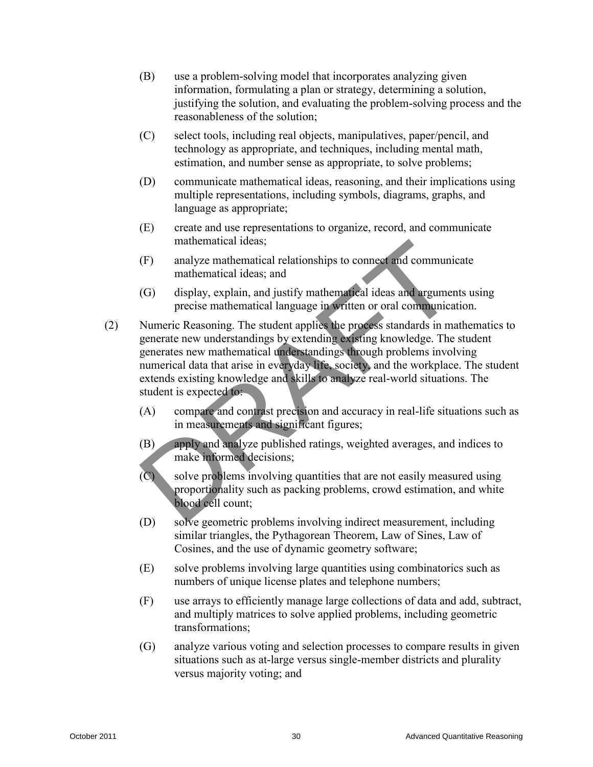- (B) use a problem-solving model that incorporates analyzing given information, formulating a plan or strategy, determining a solution, justifying the solution, and evaluating the problem-solving process and the reasonableness of the solution;
- (C) select tools, including real objects, manipulatives, paper/pencil, and technology as appropriate, and techniques, including mental math, estimation, and number sense as appropriate, to solve problems;
- (D) communicate mathematical ideas, reasoning, and their implications using multiple representations, including symbols, diagrams, graphs, and language as appropriate;
- (E) create and use representations to organize, record, and communicate mathematical ideas;
- (F) analyze mathematical relationships to connect and communicate mathematical ideas; and
- (G) display, explain, and justify mathematical ideas and arguments using precise mathematical language in written or oral communication.
- (2) Numeric Reasoning. The student applies the process standards in mathematics to generate new understandings by extending existing knowledge. The student generates new mathematical understandings through problems involving numerical data that arise in everyday life, society, and the workplace. The student extends existing knowledge and skills to analyze real-world situations. The student is expected to: Training mathematical ideas,<br>
(F) analyge nathematical relationships to connect and communicate<br>
mathematical ideas, and<br>
(G) display, explain, and justify mathematical ideas, and<br>
precise mathematical language in written
	- (A) compare and contrast precision and accuracy in real-life situations such as in measurements and significant figures;
	- (B) apply and analyze published ratings, weighted averages, and indices to make informed decisions;
	- $(C)$  solve problems involving quantities that are not easily measured using proportionality such as packing problems, crowd estimation, and white blood cell count;
	- (D) solve geometric problems involving indirect measurement, including similar triangles, the Pythagorean Theorem, Law of Sines, Law of Cosines, and the use of dynamic geometry software;
	- (E) solve problems involving large quantities using combinatorics such as numbers of unique license plates and telephone numbers;
	- (F) use arrays to efficiently manage large collections of data and add, subtract, and multiply matrices to solve applied problems, including geometric transformations;
	- (G) analyze various voting and selection processes to compare results in given situations such as at-large versus single-member districts and plurality versus majority voting; and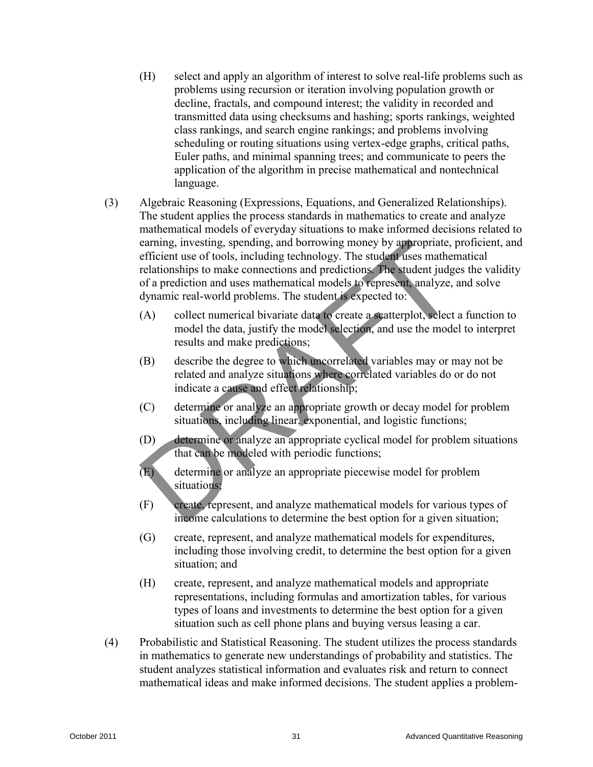- (H) select and apply an algorithm of interest to solve real-life problems such as problems using recursion or iteration involving population growth or decline, fractals, and compound interest; the validity in recorded and transmitted data using checksums and hashing; sports rankings, weighted class rankings, and search engine rankings; and problems involving scheduling or routing situations using vertex-edge graphs, critical paths, Euler paths, and minimal spanning trees; and communicate to peers the application of the algorithm in precise mathematical and nontechnical language.
- (3) Algebraic Reasoning (Expressions, Equations, and Generalized Relationships). The student applies the process standards in mathematics to create and analyze mathematical models of everyday situations to make informed decisions related to earning, investing, spending, and borrowing money by appropriate, proficient, and efficient use of tools, including technology. The student uses mathematical relationships to make connections and predictions. The student judges the validity of a prediction and uses mathematical models to represent, analyze, and solve dynamic real-world problems. The student is expected to: Carrier, interesting, and borowing monoy by **solutions**; and consistent interesting to the control of the structure of the structure of a prediction of a prediction and secondarisative of a prediction and uses mathematical
	- (A) collect numerical bivariate data to create a scatterplot, select a function to model the data, justify the model selection, and use the model to interpret results and make predictions;
	- (B) describe the degree to which uncorrelated variables may or may not be related and analyze situations where correlated variables do or do not indicate a cause and effect relationship;
	- (C) determine or analyze an appropriate growth or decay model for problem situations, including linear, exponential, and logistic functions;
	- (D) determine or analyze an appropriate cyclical model for problem situations that can be modeled with periodic functions;
	- (E) determine or analyze an appropriate piecewise model for problem situations;
	- (F) create, represent, and analyze mathematical models for various types of income calculations to determine the best option for a given situation;
	- (G) create, represent, and analyze mathematical models for expenditures, including those involving credit, to determine the best option for a given situation; and
	- (H) create, represent, and analyze mathematical models and appropriate representations, including formulas and amortization tables, for various types of loans and investments to determine the best option for a given situation such as cell phone plans and buying versus leasing a car.
	- (4) Probabilistic and Statistical Reasoning. The student utilizes the process standards in mathematics to generate new understandings of probability and statistics. The student analyzes statistical information and evaluates risk and return to connect mathematical ideas and make informed decisions. The student applies a problem-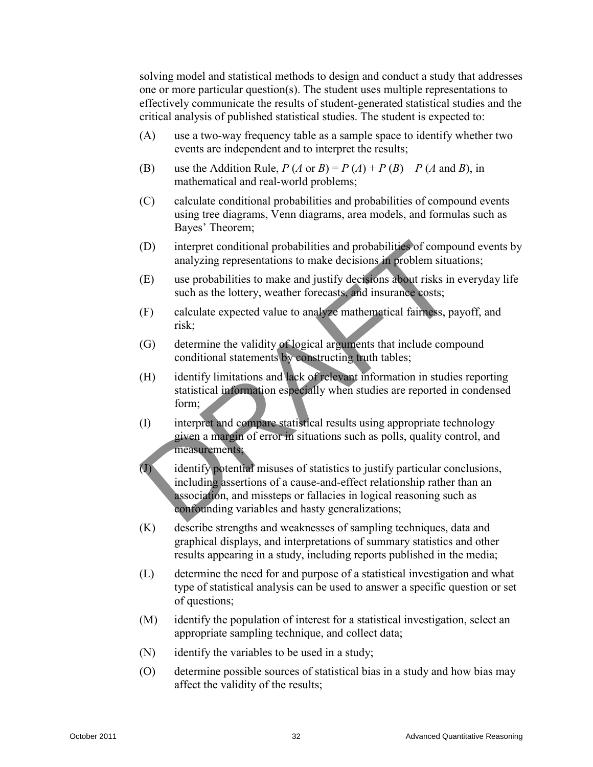solving model and statistical methods to design and conduct a study that addresses one or more particular question(s). The student uses multiple representations to effectively communicate the results of student-generated statistical studies and the critical analysis of published statistical studies. The student is expected to:

- (A) use a two-way frequency table as a sample space to identify whether two events are independent and to interpret the results;
- (B) use the Addition Rule,  $P(A \text{ or } B) = P(A) + P(B) P(A \text{ and } B)$ , in mathematical and real-world problems;
- (C) calculate conditional probabilities and probabilities of compound events using tree diagrams, Venn diagrams, area models, and formulas such as Bayes' Theorem;
- (D) interpret conditional probabilities and probabilities of compound events by analyzing representations to make decisions in problem situations;
- (E) use probabilities to make and justify decisions about risks in everyday life such as the lottery, weather forecasts, and insurance costs;
- (F) calculate expected value to analyze mathematical fairness, payoff, and risk;
- (G) determine the validity of logical arguments that include compound conditional statements by constructing truth tables;
- (H) identify limitations and lack of relevant information in studies reporting statistical information especially when studies are reported in condensed form;
- (I) interpret and compare statistical results using appropriate technology given a margin of error in situations such as polls, quality control, and measurements;
- (J) identify potential misuses of statistics to justify particular conclusions, including assertions of a cause-and-effect relationship rather than an association, and missteps or fallacies in logical reasoning such as confounding variables and hasty generalizations; (D) interpret conditional probabilities and probabilities of compound events by<br>
any ying representations to make actions for problem situations;<br>
(E) use probabilities to make and justify develops the stolens interiors;<br>
	- (K) describe strengths and weaknesses of sampling techniques, data and graphical displays, and interpretations of summary statistics and other results appearing in a study, including reports published in the media;
	- (L) determine the need for and purpose of a statistical investigation and what type of statistical analysis can be used to answer a specific question or set of questions;
	- (M) identify the population of interest for a statistical investigation, select an appropriate sampling technique, and collect data;
	- (N) identify the variables to be used in a study;
	- (O) determine possible sources of statistical bias in a study and how bias may affect the validity of the results;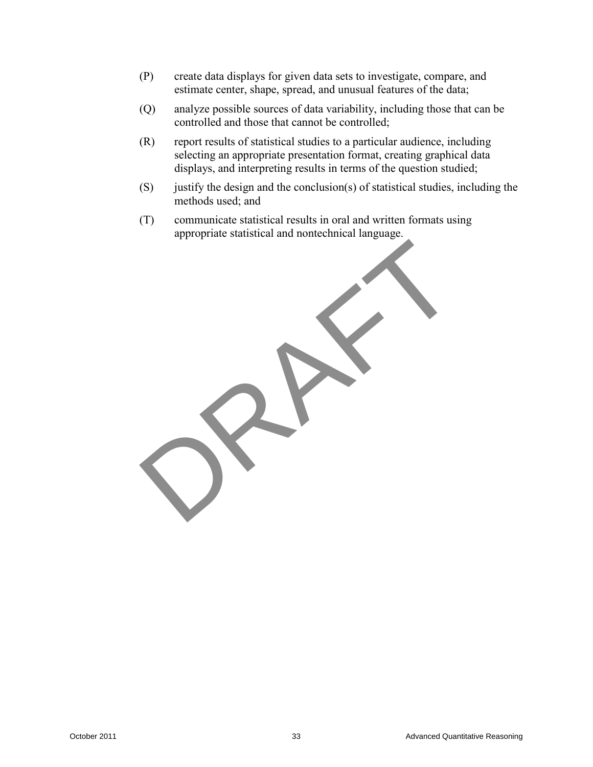- (P) create data displays for given data sets to investigate, compare, and estimate center, shape, spread, and unusual features of the data;
- (Q) analyze possible sources of data variability, including those that can be controlled and those that cannot be controlled;
- (R) report results of statistical studies to a particular audience, including selecting an appropriate presentation format, creating graphical data displays, and interpreting results in terms of the question studied;
- $(S)$  justify the design and the conclusion(s) of statistical studies, including the methods used; and
- (T) communicate statistical results in oral and written formats using appropriate statistical and nontechnical language.

October 2012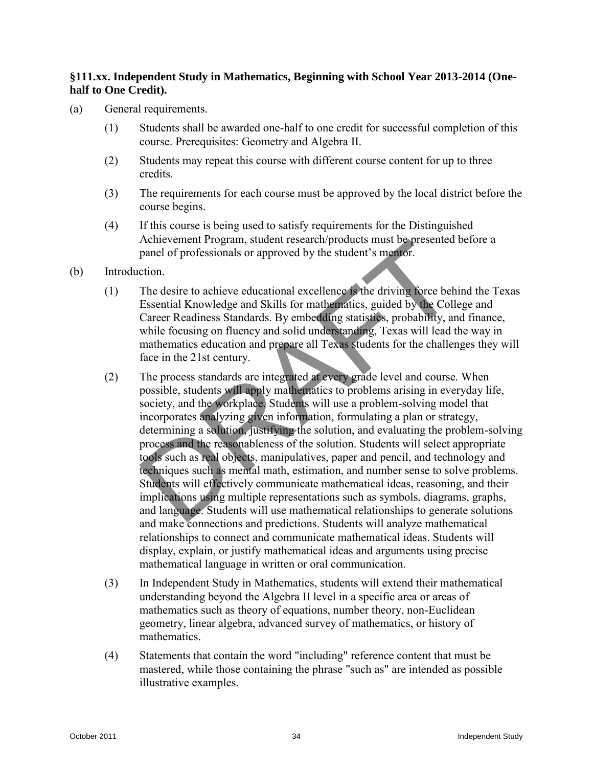## **§111.xx. Independent Study in Mathematics, Beginning with School Year 2013-2014 (Onehalf to One Credit).**

- (a) General requirements.
	- (1) Students shall be awarded one-half to one credit for successful completion of this course. Prerequisites: Geometry and Algebra II.
	- (2) Students may repeat this course with different course content for up to three credits.
	- (3) The requirements for each course must be approved by the local district before the course begins.
	- (4) If this course is being used to satisfy requirements for the Distinguished Achievement Program, student research/products must be presented before a panel of professionals or approved by the student's mentor.
- (b) Introduction.
	- (1) The desire to achieve educational excellence is the driving force behind the Texas Essential Knowledge and Skills for mathematics, guided by the College and Career Readiness Standards. By embedding statistics, probability, and finance, while focusing on fluency and solid understanding, Texas will lead the way in mathematics education and prepare all Texas students for the challenges they will face in the 21st century.
- (2) The process standards are integrated at every grade level and course. When possible, students will apply mathematics to problems arising in everyday life, society, and the workplace. Students will use a problem-solving model that incorporates analyzing given information, formulating a plan or strategy, determining a solution, justifying the solution, and evaluating the problem-solving process and the reasonableness of the solution. Students will select appropriate tools such as real objects, manipulatives, paper and pencil, and technology and techniques such as mental math, estimation, and number sense to solve problems. Students will effectively communicate mathematical ideas, reasoning, and their implications using multiple representations such as symbols, diagrams, graphs, and language. Students will use mathematical relationships to generate solutions and make connections and predictions. Students will analyze mathematical relationships to connect and communicate mathematical ideas. Students will display, explain, or justify mathematical ideas and arguments using precise mathematical language in written or oral communication. Achieveron Herogram, student testerath<br>productions must be presented by the statistic structure can provide production.<br>
(a) Introduction.<br>
(b) Introduction.<br>
(correct Readintos Studients of reading statistic for mail of t
	- (3) In Independent Study in Mathematics, students will extend their mathematical understanding beyond the Algebra II level in a specific area or areas of mathematics such as theory of equations, number theory, non-Euclidean geometry, linear algebra, advanced survey of mathematics, or history of mathematics.
	- (4) Statements that contain the word "including" reference content that must be mastered, while those containing the phrase "such as" are intended as possible illustrative examples.